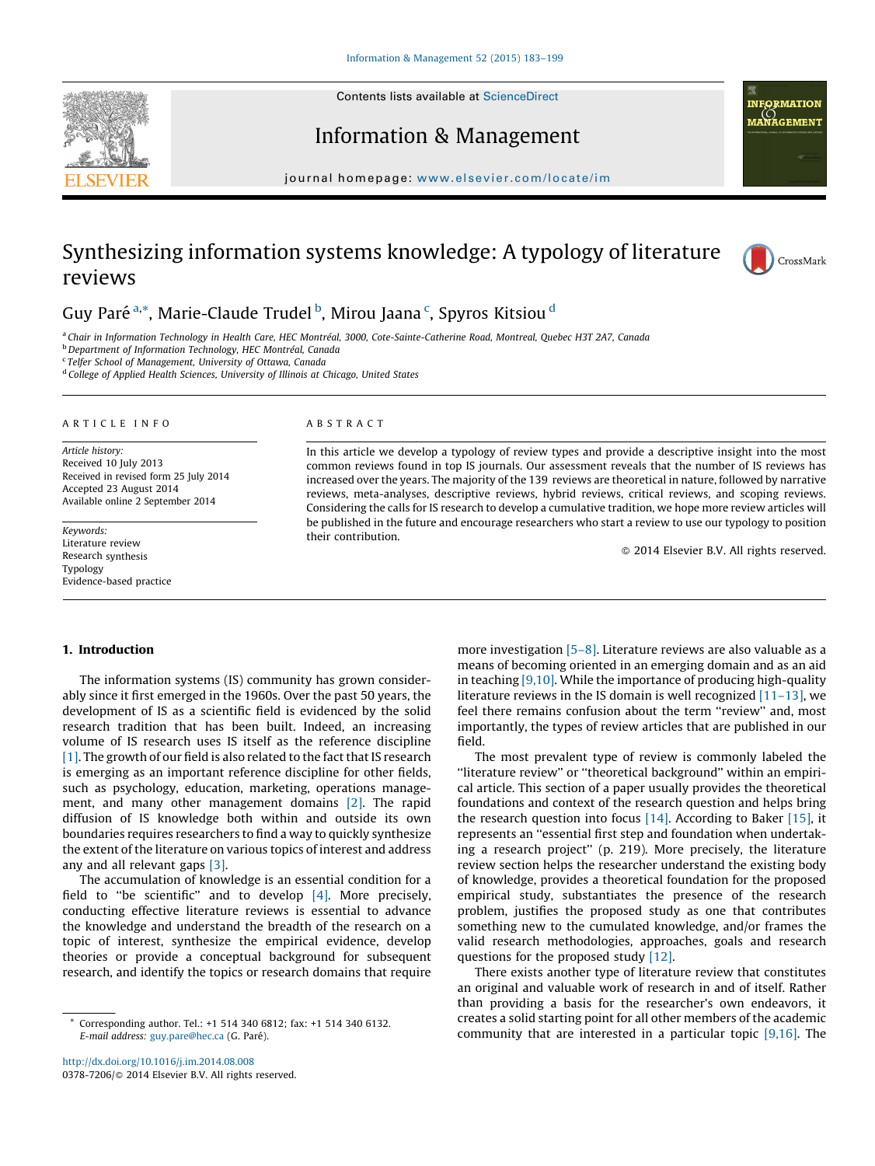Contents lists available at [ScienceDirect](http://www.sciencedirect.com/science/journal/03787206)





# Information & Management

journal homepage: <www.elsevier.com/locate/im>

## Synthesizing information systems knowledge: A typology of literature reviews



## Guy Paré <sup>a,</sup>\*, Marie-Claude Trudel <sup>b</sup>, Mirou Jaana <sup>c</sup>, Spyros Kitsiou <sup>d</sup>

a Chair in Information Technology in Health Care, HEC Montréal, 3000, Cote-Sainte-Catherine Road, Montreal, Quebec H3T 2A7, Canada **b** Department of Information Technology, HEC Montréal, Canada

<sup>c</sup> Telfer School of Management, University of Ottawa, Canada

<sup>d</sup> College of Applied Health Sciences, University of Illinois at Chicago, United States

#### A R T I C L E I N F O

Article history: Received 10 July 2013 Received in revised form 25 July 2014 Accepted 23 August 2014 Available online 2 September 2014

Keywords: Literature review Research synthesis Typology Evidence-based practice

#### A B S T R A C T

In this article we develop a typology of review types and provide a descriptive insight into the most common reviews found in top IS journals. Our assessment reveals that the number of IS reviews has increased over the years. The majority of the 139 reviews are theoretical in nature, followed by narrative reviews, meta-analyses, descriptive reviews, hybrid reviews, critical reviews, and scoping reviews. Considering the calls for IS research to develop a cumulative tradition, we hope more review articles will be published in the future and encourage researchers who start a review to use our typology to position their contribution.

 $©$  2014 Elsevier B.V. All rights reserved.

#### 1. Introduction

The information systems (IS) community has grown considerably since it first emerged in the 1960s. Over the past 50 years, the development of IS as a scientific field is evidenced by the solid research tradition that has been built. Indeed, an increasing volume of IS research uses IS itself as the reference discipline [\[1\]](#page-14-0). The growth of our field is also related to the fact that IS research is emerging as an important reference discipline for other fields, such as psychology, education, marketing, operations management, and many other management domains [\[2\].](#page-14-0) The rapid diffusion of IS knowledge both within and outside its own boundaries requires researchers to find a way to quickly synthesize the extent of the literature on various topics of interest and address any and all relevant gaps [\[3\]](#page-14-0).

The accumulation of knowledge is an essential condition for a field to ''be scientific'' and to develop [\[4\]](#page-15-0). More precisely, conducting effective literature reviews is essential to advance the knowledge and understand the breadth of the research on a topic of interest, synthesize the empirical evidence, develop theories or provide a conceptual background for subsequent research, and identify the topics or research domains that require

more investigation [\[5–8\]](#page-15-0). Literature reviews are also valuable as a means of becoming oriented in an emerging domain and as an aid in teaching [\[9,10\].](#page-15-0) While the importance of producing high-quality literature reviews in the IS domain is well recognized [\[11–13\]](#page-15-0), we feel there remains confusion about the term "review" and, most importantly, the types of review articles that are published in our field.

The most prevalent type of review is commonly labeled the ''literature review'' or ''theoretical background'' within an empirical article. This section of a paper usually provides the theoretical foundations and context of the research question and helps bring the research question into focus [\[14\]](#page-15-0). According to Baker [\[15\]](#page-15-0), it represents an ''essential first step and foundation when undertaking a research project'' (p. 219). More precisely, the literature review section helps the researcher understand the existing body of knowledge, provides a theoretical foundation for the proposed empirical study, substantiates the presence of the research problem, justifies the proposed study as one that contributes something new to the cumulated knowledge, and/or frames the valid research methodologies, approaches, goals and research questions for the proposed study [\[12\].](#page-15-0)

There exists another type of literature review that constitutes an original and valuable work of research in and of itself. Rather than providing a basis for the researcher's own endeavors, it creates a solid starting point for all other members of the academic community that are interested in a particular topic [\[9,16\].](#page-15-0) The

Corresponding author. Tel.: +1 514 340 6812; fax: +1 514 340 6132. E-mail address: [guy.pare@hec.ca](mailto:guy.pare@hec.ca) (G. Paré).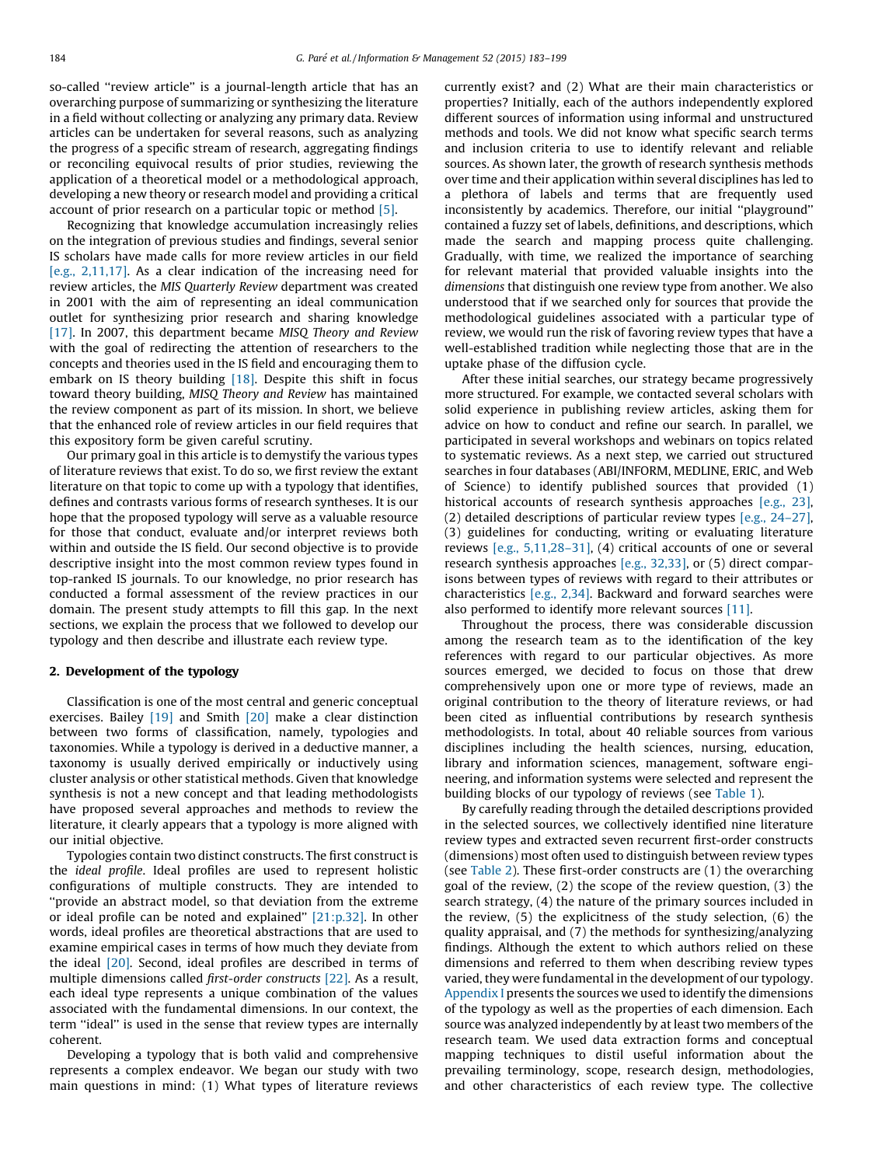so-called ''review article'' is a journal-length article that has an overarching purpose of summarizing or synthesizing the literature in a field without collecting or analyzing any primary data. Review articles can be undertaken for several reasons, such as analyzing the progress of a specific stream of research, aggregating findings or reconciling equivocal results of prior studies, reviewing the application of a theoretical model or a methodological approach, developing a new theory or research model and providing a critical account of prior research on a particular topic or method [\[5\].](#page-15-0)

Recognizing that knowledge accumulation increasingly relies on the integration of previous studies and findings, several senior IS scholars have made calls for more review articles in our field [e.g., [2,11,17\].](#page-14-0) As a clear indication of the increasing need for review articles, the MIS Quarterly Review department was created in 2001 with the aim of representing an ideal communication outlet for synthesizing prior research and sharing knowledge [\[17\]](#page-15-0). In 2007, this department became MISO Theory and Review with the goal of redirecting the attention of researchers to the concepts and theories used in the IS field and encouraging them to embark on IS theory building [\[18\]](#page-15-0). Despite this shift in focus toward theory building, MISQ Theory and Review has maintained the review component as part of its mission. In short, we believe that the enhanced role of review articles in our field requires that this expository form be given careful scrutiny.

Our primary goal in this article is to demystify the various types of literature reviews that exist. To do so, we first review the extant literature on that topic to come up with a typology that identifies, defines and contrasts various forms of research syntheses. It is our hope that the proposed typology will serve as a valuable resource for those that conduct, evaluate and/or interpret reviews both within and outside the IS field. Our second objective is to provide descriptive insight into the most common review types found in top-ranked IS journals. To our knowledge, no prior research has conducted a formal assessment of the review practices in our domain. The present study attempts to fill this gap. In the next sections, we explain the process that we followed to develop our typology and then describe and illustrate each review type.

#### 2. Development of the typology

Classification is one of the most central and generic conceptual exercises. Bailey [\[19\]](#page-15-0) and Smith [\[20\]](#page-15-0) make a clear distinction between two forms of classification, namely, typologies and taxonomies. While a typology is derived in a deductive manner, a taxonomy is usually derived empirically or inductively using cluster analysis or other statistical methods. Given that knowledge synthesis is not a new concept and that leading methodologists have proposed several approaches and methods to review the literature, it clearly appears that a typology is more aligned with our initial objective.

Typologies contain two distinct constructs. The first construct is the ideal profile. Ideal profiles are used to represent holistic configurations of multiple constructs. They are intended to ''provide an abstract model, so that deviation from the extreme or ideal profile can be noted and explained'' [\[21:p.32\].](#page-15-0) In other words, ideal profiles are theoretical abstractions that are used to examine empirical cases in terms of how much they deviate from the ideal [\[20\]](#page-15-0). Second, ideal profiles are described in terms of multiple dimensions called *first-order constructs* [\[22\].](#page-15-0) As a result, each ideal type represents a unique combination of the values associated with the fundamental dimensions. In our context, the term "ideal" is used in the sense that review types are internally coherent.

Developing a typology that is both valid and comprehensive represents a complex endeavor. We began our study with two main questions in mind: (1) What types of literature reviews currently exist? and (2) What are their main characteristics or properties? Initially, each of the authors independently explored different sources of information using informal and unstructured methods and tools. We did not know what specific search terms and inclusion criteria to use to identify relevant and reliable sources. As shown later, the growth of research synthesis methods over time and their application within several disciplines has led to a plethora of labels and terms that are frequently used inconsistently by academics. Therefore, our initial ''playground'' contained a fuzzy set of labels, definitions, and descriptions, which made the search and mapping process quite challenging. Gradually, with time, we realized the importance of searching for relevant material that provided valuable insights into the dimensions that distinguish one review type from another. We also understood that if we searched only for sources that provide the methodological guidelines associated with a particular type of review, we would run the risk of favoring review types that have a well-established tradition while neglecting those that are in the uptake phase of the diffusion cycle.

After these initial searches, our strategy became progressively more structured. For example, we contacted several scholars with solid experience in publishing review articles, asking them for advice on how to conduct and refine our search. In parallel, we participated in several workshops and webinars on topics related to systematic reviews. As a next step, we carried out structured searches in four databases (ABI/INFORM, MEDLINE, ERIC, and Web of Science) to identify published sources that provided (1) historical accounts of research synthesis approaches [\[e.g.,](#page-15-0) 23], (2) detailed descriptions of particular review types [e.g., [24–27\],](#page-15-0) (3) guidelines for conducting, writing or evaluating literature reviews [e.g., [5,11,28–31\]](#page-15-0), (4) critical accounts of one or several research synthesis approaches [e.g., [32,33\]](#page-15-0), or (5) direct comparisons between types of reviews with regard to their attributes or characteristics [e.g., [2,34\]](#page-14-0). Backward and forward searches were also performed to identify more relevant sources [\[11\].](#page-15-0)

Throughout the process, there was considerable discussion among the research team as to the identification of the key references with regard to our particular objectives. As more sources emerged, we decided to focus on those that drew comprehensively upon one or more type of reviews, made an original contribution to the theory of literature reviews, or had been cited as influential contributions by research synthesis methodologists. In total, about 40 reliable sources from various disciplines including the health sciences, nursing, education, library and information sciences, management, software engineering, and information systems were selected and represent the building blocks of our typology of reviews (see [Table](#page-2-0) 1).

By carefully reading through the detailed descriptions provided in the selected sources, we collectively identified nine literature review types and extracted seven recurrent first-order constructs (dimensions) most often used to distinguish between review types (see [Table](#page-3-0) 2). These first-order constructs are (1) the overarching goal of the review, (2) the scope of the review question, (3) the search strategy, (4) the nature of the primary sources included in the review, (5) the explicitness of the study selection, (6) the quality appraisal, and (7) the methods for synthesizing/analyzing findings. Although the extent to which authors relied on these dimensions and referred to them when describing review types varied, they were fundamental in the development of our typology. [Appendix](#page-10-0) I presents the sources we used to identify the dimensions of the typology as well as the properties of each dimension. Each source was analyzed independently by at least two members of the research team. We used data extraction forms and conceptual mapping techniques to distil useful information about the prevailing terminology, scope, research design, methodologies, and other characteristics of each review type. The collective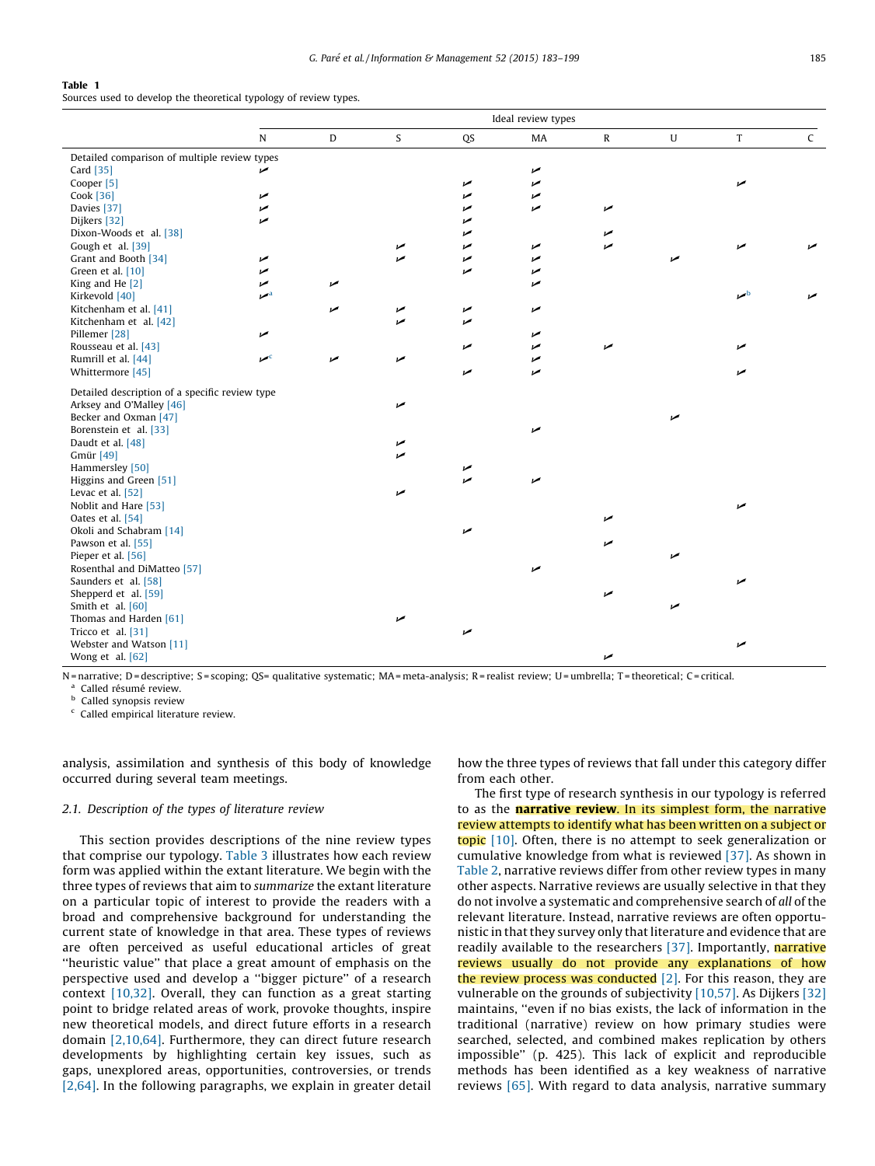#### <span id="page-2-0"></span>Table 1

Sources used to develop the theoretical typology of review types.

|                                                |                           |             |     |     | Ideal review types |           |     |                           |              |
|------------------------------------------------|---------------------------|-------------|-----|-----|--------------------|-----------|-----|---------------------------|--------------|
|                                                | ${\bf N}$                 | $\mathbb D$ | S   | QS  | MA                 | ${\bf R}$ | U   | T                         | $\mathsf{C}$ |
| Detailed comparison of multiple review types   |                           |             |     |     |                    |           |     |                           |              |
| Card $[35]$                                    | مما                       |             |     |     | مما                |           |     |                           |              |
| Cooper <sup>[5]</sup>                          |                           |             |     | مما | مما                |           |     |                           |              |
| Cook [36]                                      | مما                       |             |     |     | مما                |           |     |                           |              |
| Davies [37]                                    | مما                       |             |     |     | مما                | مما       |     |                           |              |
| Dijkers [32]                                   | مما                       |             |     | مما |                    |           |     |                           |              |
| Dixon-Woods et al. [38]                        |                           |             |     | مما |                    | مما       |     |                           |              |
| Gough et al. [39]                              |                           |             |     | مما | مما                | مما       |     |                           |              |
| Grant and Booth [34]                           | مما                       |             |     | مما | مما                |           |     |                           |              |
| Green et al. [10]                              | مما                       |             |     | مما | "                  |           |     |                           |              |
| King and He $[2]$                              | مما                       | مما         |     |     | مما                |           |     |                           |              |
| Kirkevold [40]                                 | $\mathbf{z}^{\mathrm{a}}$ |             |     |     |                    |           |     | $\mathbf{v}^{\mathrm{b}}$ |              |
| Kitchenham et al. [41]                         |                           | مما         | مما | مما | مما                |           |     |                           |              |
| Kitchenham et al. [42]                         |                           |             | مما |     |                    |           |     |                           |              |
| Pillemer [28]                                  | مما                       |             |     |     | مما                |           |     |                           |              |
| Rousseau et al. [43]                           |                           |             |     | مما | مما                | مما       |     |                           |              |
| Rumrill et al. [44]                            |                           | مما         | مما |     | مما                |           |     |                           |              |
| Whittermore [45]                               |                           |             |     | مما | مما                |           |     | مما                       |              |
| Detailed description of a specific review type |                           |             |     |     |                    |           |     |                           |              |
| Arksey and O'Malley [46]                       |                           |             | مما |     |                    |           |     |                           |              |
| Becker and Oxman [47]                          |                           |             |     |     |                    |           | مما |                           |              |
| Borenstein et al. [33]                         |                           |             |     |     | مما                |           |     |                           |              |
| Daudt et al. [48]                              |                           |             | ↙   |     |                    |           |     |                           |              |
| Gmür [49]                                      |                           |             |     |     |                    |           |     |                           |              |
| Hammersley [50]                                |                           |             |     |     |                    |           |     |                           |              |
| Higgins and Green [51]                         |                           |             |     |     | مما                |           |     |                           |              |
| Levac et al. [52]                              |                           |             | ممن |     |                    |           |     |                           |              |
| Noblit and Hare [53]                           |                           |             |     |     |                    |           |     |                           |              |
| Oates et al. [54]                              |                           |             |     |     |                    | مما       |     |                           |              |
| Okoli and Schabram [14]                        |                           |             |     |     |                    |           |     |                           |              |
| Pawson et al. [55]                             |                           |             |     |     |                    | مما       |     |                           |              |
| Pieper et al. [56]                             |                           |             |     |     |                    |           | مما |                           |              |
| Rosenthal and DiMatteo [57]                    |                           |             |     |     | مما                |           |     |                           |              |
| Saunders et al. [58]                           |                           |             |     |     |                    |           |     | مما                       |              |
| Shepperd et al. [59]                           |                           |             |     |     |                    | مما       |     |                           |              |
| Smith et al. $[60]$                            |                           |             |     |     |                    |           |     |                           |              |
| Thomas and Harden [61]                         |                           |             |     |     |                    |           |     |                           |              |
| Tricco et al. [31]                             |                           |             |     | مما |                    |           |     |                           |              |
| Webster and Watson [11]                        |                           |             |     |     |                    |           |     | مما                       |              |
| Wong et al. [62]                               |                           |             |     |     |                    | مما       |     |                           |              |

N = narrative; D = descriptive; S = scoping; QS = qualitative systematic; MA = meta-analysis; R = realist review; U = umbrella; T = theoretical; C = critical.

<sup>a</sup> Called résumé review.

**b** Called synopsis review

<sup>c</sup> Called empirical literature review.

analysis, assimilation and synthesis of this body of knowledge occurred during several team meetings.

### 2.1. Description of the types of literature review

This section provides descriptions of the nine review types that comprise our typology. [Table](#page-4-0) 3 illustrates how each review form was applied within the extant literature. We begin with the three types of reviews that aim to summarize the extant literature on a particular topic of interest to provide the readers with a broad and comprehensive background for understanding the current state of knowledge in that area. These types of reviews are often perceived as useful educational articles of great ''heuristic value'' that place a great amount of emphasis on the perspective used and develop a ''bigger picture'' of a research context [\[10,32\].](#page-15-0) Overall, they can function as a great starting point to bridge related areas of work, provoke thoughts, inspire new theoretical models, and direct future efforts in a research domain [\[2,10,64\]](#page-14-0). Furthermore, they can direct future research developments by highlighting certain key issues, such as gaps, unexplored areas, opportunities, controversies, or trends [\[2,64\].](#page-14-0) In the following paragraphs, we explain in greater detail how the three types of reviews that fall under this category differ from each other.

The first type of research synthesis in our typology is referred to as the **narrative review**. In its simplest form, the narrative review attempts to identify what has been written on a subject or topic [\[10\]](#page-15-0). Often, there is no attempt to seek generalization or cumulative knowledge from what is reviewed [\[37\]](#page-15-0). As shown in [Table](#page-3-0) 2, narrative reviews differ from other review types in many other aspects. Narrative reviews are usually selective in that they do not involve a systematic and comprehensive search of all of the relevant literature. Instead, narrative reviews are often opportunistic in that they survey only that literature and evidence that are readily available to the researchers [\[37\]](#page-15-0). Importantly, narrative reviews usually do not provide any explanations of how the review process was conducted  $[2]$ . For this reason, they are vulnerable on the grounds of subjectivity [\[10,57\]](#page-15-0). As Dijkers [\[32\]](#page-15-0) maintains, "even if no bias exists, the lack of information in the traditional (narrative) review on how primary studies were searched, selected, and combined makes replication by others impossible'' (p. 425). This lack of explicit and reproducible methods has been identified as a key weakness of narrative reviews [\[65\]](#page-15-0). With regard to data analysis, narrative summary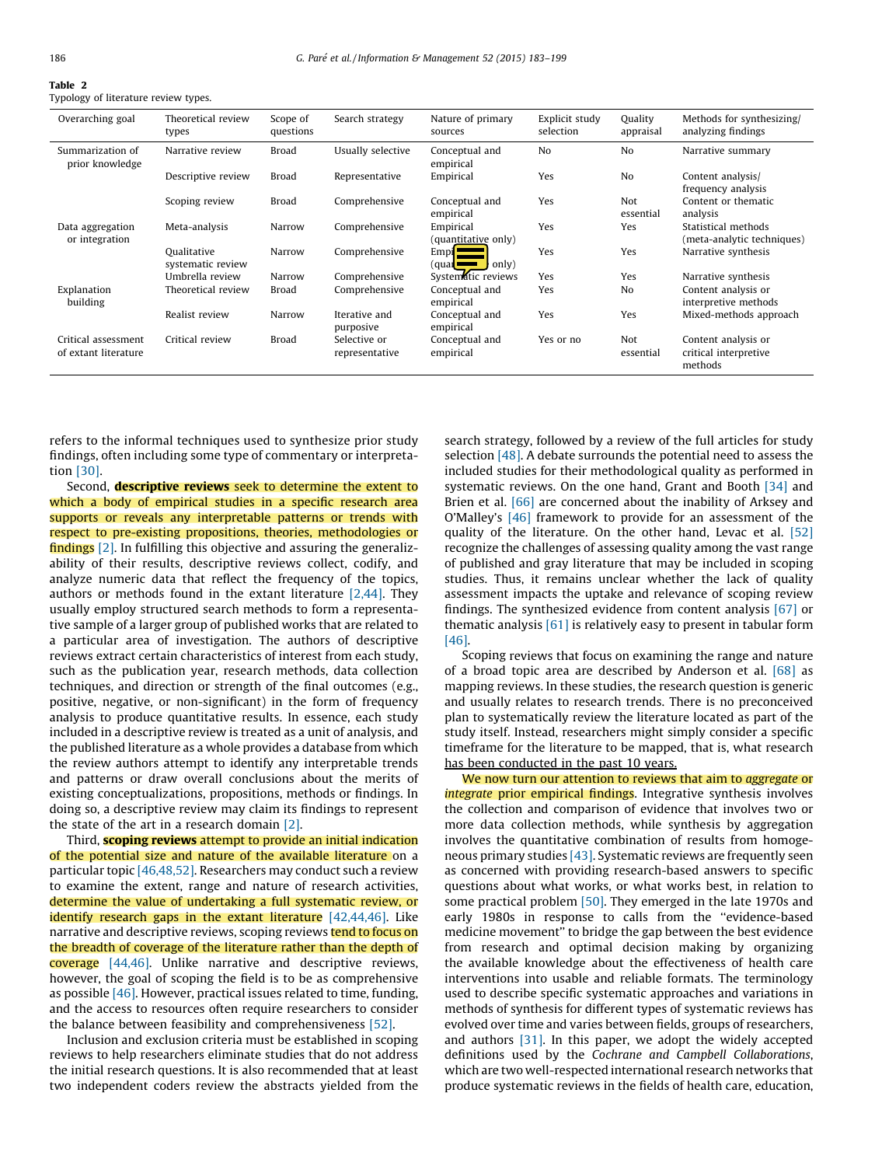<span id="page-3-0"></span>Table 2

| lavit 4 |                                      |  |
|---------|--------------------------------------|--|
|         | Typology of literature review types. |  |

| Overarching goal                            | Theoretical review<br>types      | Scope of<br>questions | Search strategy                | Nature of primary<br>sources                          | Explicit study<br>selection | <b>Quality</b><br>appraisal | Methods for synthesizing/<br>analyzing findings         |
|---------------------------------------------|----------------------------------|-----------------------|--------------------------------|-------------------------------------------------------|-----------------------------|-----------------------------|---------------------------------------------------------|
| Summarization of<br>prior knowledge         | Narrative review                 | Broad                 | Usually selective              | Conceptual and<br>empirical                           | N <sub>0</sub>              | N <sub>o</sub>              | Narrative summary                                       |
|                                             | Descriptive review               | Broad                 | Representative                 | Empirical                                             | Yes                         | N <sub>o</sub>              | Content analysis/<br>frequency analysis                 |
|                                             | Scoping review                   | Broad                 | Comprehensive                  | Conceptual and<br>empirical                           | Yes                         | Not<br>essential            | Content or thematic<br>analysis                         |
| Data aggregation<br>or integration          | Meta-analysis                    | Narrow                | Comprehensive                  | Empirical<br>(quantitative only)                      | Yes                         | Yes                         | Statistical methods<br>(meta-analytic techniques)       |
|                                             | Oualitative<br>systematic review | Narrow                | Comprehensive                  | Empi <sup>1</sup><br>only)<br>$($ quar $\blacksquare$ | Yes                         | Yes                         | Narrative synthesis                                     |
|                                             | Umbrella review                  | Narrow                | Comprehensive                  | Systematic reviews                                    | Yes                         | Yes                         | Narrative synthesis                                     |
| Explanation<br>building                     | Theoretical review               | Broad                 | Comprehensive                  | Conceptual and<br>empirical                           | Yes                         | No                          | Content analysis or<br>interpretive methods             |
|                                             | Realist review                   | Narrow                | Iterative and<br>purposive     | Conceptual and<br>empirical                           | Yes                         | Yes                         | Mixed-methods approach                                  |
| Critical assessment<br>of extant literature | Critical review                  | Broad                 | Selective or<br>representative | Conceptual and<br>empirical                           | Yes or no                   | Not<br>essential            | Content analysis or<br>critical interpretive<br>methods |

refers to the informal techniques used to synthesize prior study findings, often including some type of commentary or interpretation [\[30\].](#page-15-0)

Second, **descriptive reviews** seek to determine the extent to which a body of empirical studies in a specific research area supports or reveals any interpretable patterns or trends with respect to pre-existing propositions, theories, methodologies or findings [\[2\].](#page-14-0) In fulfilling this objective and assuring the generalizability of their results, descriptive reviews collect, codify, and analyze numeric data that reflect the frequency of the topics, authors or methods found in the extant literature [\[2,44\]](#page-14-0). They usually employ structured search methods to form a representative sample of a larger group of published works that are related to a particular area of investigation. The authors of descriptive reviews extract certain characteristics of interest from each study, such as the publication year, research methods, data collection techniques, and direction or strength of the final outcomes (e.g., positive, negative, or non-significant) in the form of frequency analysis to produce quantitative results. In essence, each study included in a descriptive review is treated as a unit of analysis, and the published literature as a whole provides a database from which the review authors attempt to identify any interpretable trends and patterns or draw overall conclusions about the merits of existing conceptualizations, propositions, methods or findings. In doing so, a descriptive review may claim its findings to represent the state of the art in a research domain [\[2\]](#page-14-0).

Third, **scoping reviews** attempt to provide an initial indication of the potential size and nature of the available literature on a particular topic [\[46,48,52\]](#page-15-0). Researchers may conduct such a review to examine the extent, range and nature of research activities, determine the value of undertaking a full systematic review, or identify research gaps in the extant literature [\[42,44,46\].](#page-15-0) Like narrative and descriptive reviews, scoping reviews tend to focus on the breadth of coverage of the literature rather than the depth of coverage [\[44,46\].](#page-15-0) Unlike narrative and descriptive reviews, however, the goal of scoping the field is to be as comprehensive as possible  $[46]$ . However, practical issues related to time, funding, and the access to resources often require researchers to consider the balance between feasibility and comprehensiveness [\[52\]](#page-15-0).

Inclusion and exclusion criteria must be established in scoping reviews to help researchers eliminate studies that do not address the initial research questions. It is also recommended that at least two independent coders review the abstracts yielded from the search strategy, followed by a review of the full articles for study selection [\[48\].](#page-15-0) A debate surrounds the potential need to assess the included studies for their methodological quality as performed in systematic reviews. On the one hand, Grant and Booth [\[34\]](#page-15-0) and Brien et al. [\[66\]](#page-15-0) are concerned about the inability of Arksey and O'Malley's [\[46\]](#page-15-0) framework to provide for an assessment of the quality of the literature. On the other hand, Levac et al. [\[52\]](#page-15-0) recognize the challenges of assessing quality among the vast range of published and gray literature that may be included in scoping studies. Thus, it remains unclear whether the lack of quality assessment impacts the uptake and relevance of scoping review findings. The synthesized evidence from content analysis [\[67\]](#page-15-0) or thematic analysis  $[61]$  is relatively easy to present in tabular form [\[46\]](#page-15-0).

Scoping reviews that focus on examining the range and nature of a broad topic area are described by Anderson et al. [\[68\]](#page-15-0) as mapping reviews. In these studies, the research question is generic and usually relates to research trends. There is no preconceived plan to systematically review the literature located as part of the study itself. Instead, researchers might simply consider a specific timeframe for the literature to be mapped, that is, what research has been conducted in the past 10 years.

We now turn our attention to reviews that aim to aggregate or integrate prior empirical findings. Integrative synthesis involves the collection and comparison of evidence that involves two or more data collection methods, while synthesis by aggregation involves the quantitative combination of results from homogeneous primary studies [\[43\].](#page-15-0) Systematic reviews are frequently seen as concerned with providing research-based answers to specific questions about what works, or what works best, in relation to some practical problem [\[50\]](#page-15-0). They emerged in the late 1970s and early 1980s in response to calls from the ''evidence-based medicine movement'' to bridge the gap between the best evidence from research and optimal decision making by organizing the available knowledge about the effectiveness of health care interventions into usable and reliable formats. The terminology used to describe specific systematic approaches and variations in methods of synthesis for different types of systematic reviews has evolved over time and varies between fields, groups of researchers, and authors  $[31]$ . In this paper, we adopt the widely accepted definitions used by the Cochrane and Campbell Collaborations, which are two well-respected international research networks that produce systematic reviews in the fields of health care, education,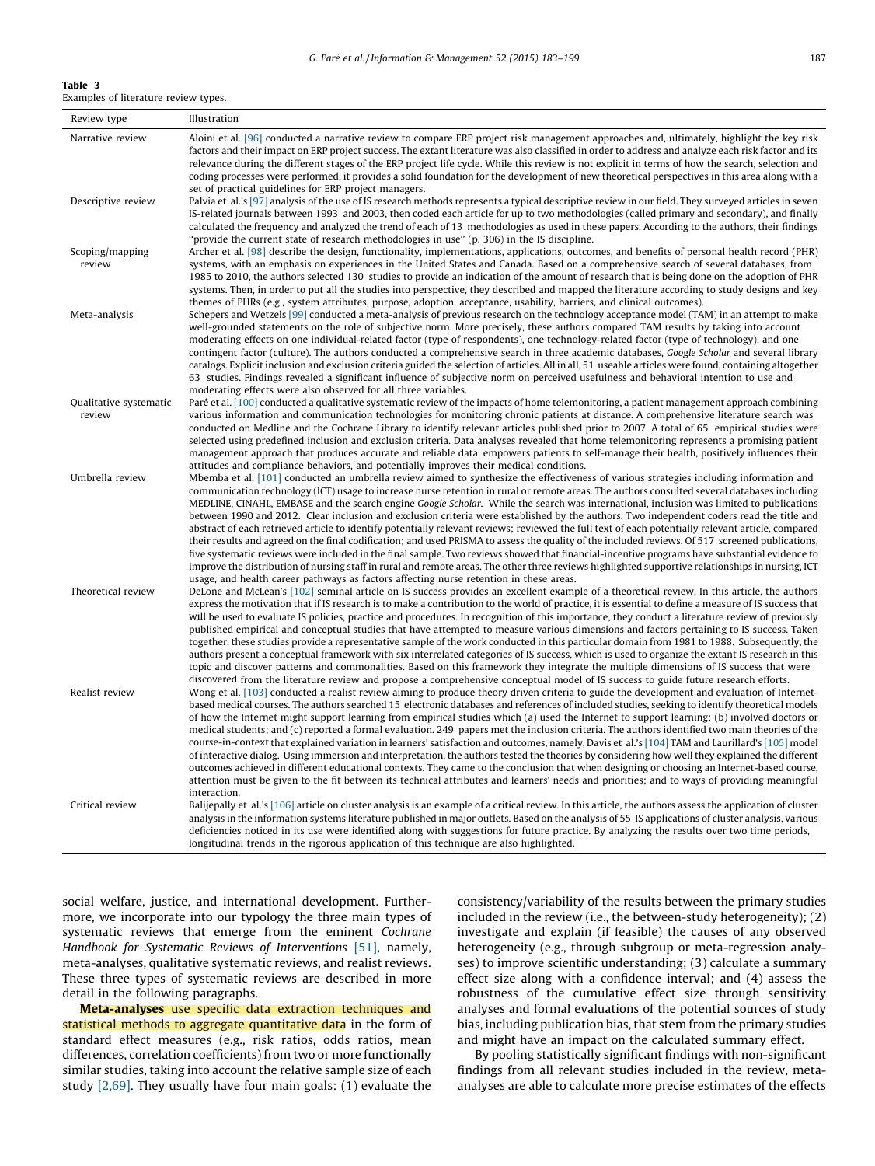#### <span id="page-4-0"></span>Table 3

Examples of literature review types.

| Review type                      | Illustration                                                                                                                                                                                                                                                                                                                                                                                                                                                                                                                                                                                                                                                                                                                                                                                                                                                                                                                                                                                                                                                                                                                                                                                                                                                                           |
|----------------------------------|----------------------------------------------------------------------------------------------------------------------------------------------------------------------------------------------------------------------------------------------------------------------------------------------------------------------------------------------------------------------------------------------------------------------------------------------------------------------------------------------------------------------------------------------------------------------------------------------------------------------------------------------------------------------------------------------------------------------------------------------------------------------------------------------------------------------------------------------------------------------------------------------------------------------------------------------------------------------------------------------------------------------------------------------------------------------------------------------------------------------------------------------------------------------------------------------------------------------------------------------------------------------------------------|
| Narrative review                 | Aloini et al. [96] conducted a narrative review to compare ERP project risk management approaches and, ultimately, highlight the key risk<br>factors and their impact on ERP project success. The extant literature was also classified in order to address and analyze each risk factor and its<br>relevance during the different stages of the ERP project life cycle. While this review is not explicit in terms of how the search, selection and<br>coding processes were performed, it provides a solid foundation for the development of new theoretical perspectives in this area along with a<br>set of practical guidelines for ERP project managers.                                                                                                                                                                                                                                                                                                                                                                                                                                                                                                                                                                                                                         |
| Descriptive review               | Palvia et al.'s [97] analysis of the use of IS research methods represents a typical descriptive review in our field. They surveyed articles in seven<br>IS-related journals between 1993 and 2003, then coded each article for up to two methodologies (called primary and secondary), and finally<br>calculated the frequency and analyzed the trend of each of 13 methodologies as used in these papers. According to the authors, their findings<br>"provide the current state of research methodologies in use" (p. 306) in the IS discipline.                                                                                                                                                                                                                                                                                                                                                                                                                                                                                                                                                                                                                                                                                                                                    |
| Scoping/mapping<br>review        | Archer et al. [98] describe the design, functionality, implementations, applications, outcomes, and benefits of personal health record (PHR)<br>systems, with an emphasis on experiences in the United States and Canada. Based on a comprehensive search of several databases, from<br>1985 to 2010, the authors selected 130 studies to provide an indication of the amount of research that is being done on the adoption of PHR<br>systems. Then, in order to put all the studies into perspective, they described and mapped the literature according to study designs and key                                                                                                                                                                                                                                                                                                                                                                                                                                                                                                                                                                                                                                                                                                    |
| Meta-analysis                    | themes of PHRs (e.g., system attributes, purpose, adoption, acceptance, usability, barriers, and clinical outcomes).<br>Schepers and Wetzels [99] conducted a meta-analysis of previous research on the technology acceptance model (TAM) in an attempt to make<br>well-grounded statements on the role of subjective norm. More precisely, these authors compared TAM results by taking into account<br>moderating effects on one individual-related factor (type of respondents), one technology-related factor (type of technology), and one<br>contingent factor (culture). The authors conducted a comprehensive search in three academic databases, Google Scholar and several library<br>catalogs. Explicit inclusion and exclusion criteria guided the selection of articles. All in all, 51 useable articles were found, containing altogether<br>63 studies. Findings revealed a significant influence of subjective norm on perceived usefulness and behavioral intention to use and                                                                                                                                                                                                                                                                                        |
| Qualitative systematic<br>review | moderating effects were also observed for all three variables.<br>Paré et al. [100] conducted a qualitative systematic review of the impacts of home telemonitoring, a patient management approach combining<br>various information and communication technologies for monitoring chronic patients at distance. A comprehensive literature search was<br>conducted on Medline and the Cochrane Library to identify relevant articles published prior to 2007. A total of 65 empirical studies were<br>selected using predefined inclusion and exclusion criteria. Data analyses revealed that home telemonitoring represents a promising patient<br>management approach that produces accurate and reliable data, empowers patients to self-manage their health, positively influences their<br>attitudes and compliance behaviors, and potentially improves their medical conditions.                                                                                                                                                                                                                                                                                                                                                                                                 |
| Umbrella review                  | Mbemba et al. [101] conducted an umbrella review aimed to synthesize the effectiveness of various strategies including information and<br>communication technology (ICT) usage to increase nurse retention in rural or remote areas. The authors consulted several databases including<br>MEDLINE, CINAHL, EMBASE and the search engine Google Scholar. While the search was international, inclusion was limited to publications<br>between 1990 and 2012. Clear inclusion and exclusion criteria were established by the authors. Two independent coders read the title and<br>abstract of each retrieved article to identify potentially relevant reviews; reviewed the full text of each potentially relevant article, compared<br>their results and agreed on the final codification; and used PRISMA to assess the quality of the included reviews. Of 517 screened publications,<br>five systematic reviews were included in the final sample. Two reviews showed that financial-incentive programs have substantial evidence to<br>improve the distribution of nursing staff in rural and remote areas. The other three reviews highlighted supportive relationships in nursing, ICT<br>usage, and health career pathways as factors affecting nurse retention in these areas. |
| Theoretical review               | DeLone and McLean's [102] seminal article on IS success provides an excellent example of a theoretical review. In this article, the authors<br>express the motivation that if IS research is to make a contribution to the world of practice, it is essential to define a measure of IS success that<br>will be used to evaluate IS policies, practice and procedures. In recognition of this importance, they conduct a literature review of previously<br>published empirical and conceptual studies that have attempted to measure various dimensions and factors pertaining to IS success. Taken<br>together, these studies provide a representative sample of the work conducted in this particular domain from 1981 to 1988. Subsequently, the<br>authors present a conceptual framework with six interrelated categories of IS success, which is used to organize the extant IS research in this<br>topic and discover patterns and commonalities. Based on this framework they integrate the multiple dimensions of IS success that were<br>discovered from the literature review and propose a comprehensive conceptual model of IS success to guide future research efforts.                                                                                                 |
| Realist review                   | Wong et al. [103] conducted a realist review aiming to produce theory driven criteria to guide the development and evaluation of Internet-<br>based medical courses. The authors searched 15 electronic databases and references of included studies, seeking to identify theoretical models<br>of how the Internet might support learning from empirical studies which (a) used the Internet to support learning; (b) involved doctors or<br>medical students; and (c) reported a formal evaluation. 249 papers met the inclusion criteria. The authors identified two main theories of the<br>course-in-context that explained variation in learners' satisfaction and outcomes, namely, Davis et al.'s [104] TAM and Laurillard's [105] model<br>of interactive dialog. Using immersion and interpretation, the authors tested the theories by considering how well they explained the different<br>outcomes achieved in different educational contexts. They came to the conclusion that when designing or choosing an Internet-based course,<br>attention must be given to the fit between its technical attributes and learners' needs and priorities; and to ways of providing meaningful                                                                                       |
| Critical review                  | interaction.<br>Balijepally et al.'s [106] article on cluster analysis is an example of a critical review. In this article, the authors assess the application of cluster<br>analysis in the information systems literature published in major outlets. Based on the analysis of 55 IS applications of cluster analysis, various<br>deficiencies noticed in its use were identified along with suggestions for future practice. By analyzing the results over two time periods,<br>longitudinal trends in the rigorous application of this technique are also highlighted.                                                                                                                                                                                                                                                                                                                                                                                                                                                                                                                                                                                                                                                                                                             |

social welfare, justice, and international development. Furthermore, we incorporate into our typology the three main types of systematic reviews that emerge from the eminent Cochrane Handbook for Systematic Reviews of Interventions [\[51\],](#page-15-0) namely, meta-analyses, qualitative systematic reviews, and realist reviews. These three types of systematic reviews are described in more detail in the following paragraphs.

Meta-analyses use specific data extraction techniques and statistical methods to aggregate quantitative data in the form of standard effect measures (e.g., risk ratios, odds ratios, mean differences, correlation coefficients) from two or more functionally similar studies, taking into account the relative sample size of each study [\[2,69\]](#page-14-0). They usually have four main goals: (1) evaluate the

consistency/variability of the results between the primary studies included in the review (i.e., the between-study heterogeneity); (2) investigate and explain (if feasible) the causes of any observed heterogeneity (e.g., through subgroup or meta-regression analyses) to improve scientific understanding; (3) calculate a summary effect size along with a confidence interval; and (4) assess the robustness of the cumulative effect size through sensitivity analyses and formal evaluations of the potential sources of study bias, including publication bias, that stem from the primary studies and might have an impact on the calculated summary effect.

By pooling statistically significant findings with non-significant findings from all relevant studies included in the review, metaanalyses are able to calculate more precise estimates of the effects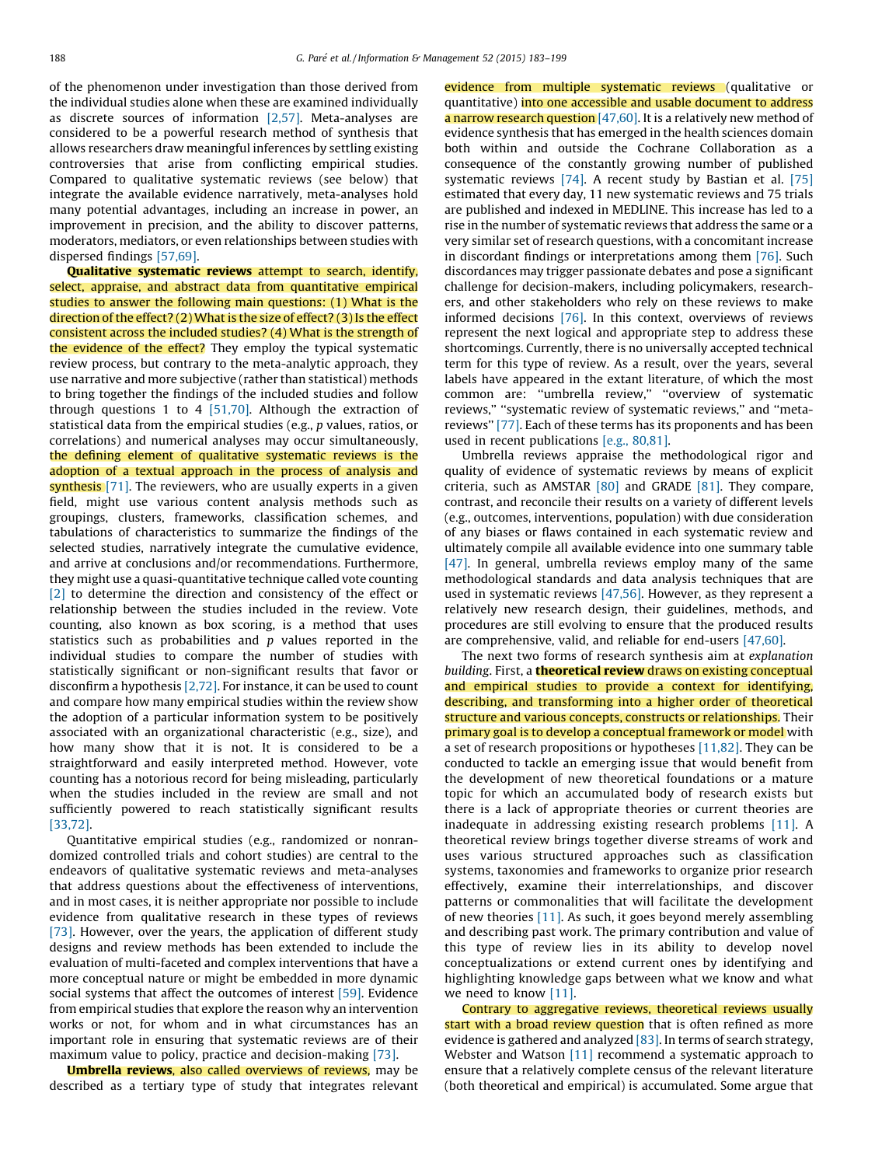of the phenomenon under investigation than those derived from the individual studies alone when these are examined individually as discrete sources of information [\[2,57\]](#page-14-0). Meta-analyses are considered to be a powerful research method of synthesis that allows researchers draw meaningful inferences by settling existing controversies that arise from conflicting empirical studies. Compared to qualitative systematic reviews (see below) that integrate the available evidence narratively, meta-analyses hold many potential advantages, including an increase in power, an improvement in precision, and the ability to discover patterns, moderators, mediators, or even relationships between studies with dispersed findings [\[57,69\].](#page-15-0)

**Qualitative systematic reviews** attempt to search, identify, select, appraise, and abstract data from quantitative empirical studies to answer the following main questions: (1) What is the direction of the effect? (2) What is the size of effect? (3) Is the effect consistent across the included studies? (4) What is the strength of the evidence of the effect? They employ the typical systematic review process, but contrary to the meta-analytic approach, they use narrative and more subjective (rather than statistical) methods to bring together the findings of the included studies and follow through questions 1 to 4  $[51,70]$ . Although the extraction of statistical data from the empirical studies (e.g., p values, ratios, or correlations) and numerical analyses may occur simultaneously, the defining element of qualitative systematic reviews is the adoption of a textual approach in the process of analysis and synthesis [\[71\].](#page-15-0) The reviewers, who are usually experts in a given field, might use various content analysis methods such as groupings, clusters, frameworks, classification schemes, and tabulations of characteristics to summarize the findings of the selected studies, narratively integrate the cumulative evidence, and arrive at conclusions and/or recommendations. Furthermore, they might use a quasi-quantitative technique called vote counting [\[2\]](#page-14-0) to determine the direction and consistency of the effect or relationship between the studies included in the review. Vote counting, also known as box scoring, is a method that uses statistics such as probabilities and  $p$  values reported in the individual studies to compare the number of studies with statistically significant or non-significant results that favor or disconfirm a hypothesis [\[2,72\].](#page-14-0) For instance, it can be used to count and compare how many empirical studies within the review show the adoption of a particular information system to be positively associated with an organizational characteristic (e.g., size), and how many show that it is not. It is considered to be a straightforward and easily interpreted method. However, vote counting has a notorious record for being misleading, particularly when the studies included in the review are small and not sufficiently powered to reach statistically significant results [\[33,72\].](#page-15-0)

Quantitative empirical studies (e.g., randomized or nonrandomized controlled trials and cohort studies) are central to the endeavors of qualitative systematic reviews and meta-analyses that address questions about the effectiveness of interventions, and in most cases, it is neither appropriate nor possible to include evidence from qualitative research in these types of reviews [\[73\]](#page-15-0). However, over the years, the application of different study designs and review methods has been extended to include the evaluation of multi-faceted and complex interventions that have a more conceptual nature or might be embedded in more dynamic social systems that affect the outcomes of interest [\[59\].](#page-15-0) Evidence from empirical studies that explore the reason why an intervention works or not, for whom and in what circumstances has an important role in ensuring that systematic reviews are of their maximum value to policy, practice and decision-making [\[73\].](#page-15-0)

**Umbrella reviews**, also called overviews of reviews, may be described as a tertiary type of study that integrates relevant evidence from multiple systematic reviews (qualitative or quantitative) into one accessible and usable document to address a narrow research question [\[47,60\]](#page-15-0). It is a relatively new method of evidence synthesis that has emerged in the health sciences domain both within and outside the Cochrane Collaboration as a consequence of the constantly growing number of published systematic reviews [\[74\].](#page-15-0) A recent study by Bastian et al. [\[75\]](#page-15-0) estimated that every day, 11 new systematic reviews and 75 trials are published and indexed in MEDLINE. This increase has led to a rise in the number of systematic reviews that address the same or a very similar set of research questions, with a concomitant increase in discordant findings or interpretations among them [\[76\]](#page-15-0). Such discordances may trigger passionate debates and pose a significant challenge for decision-makers, including policymakers, researchers, and other stakeholders who rely on these reviews to make informed decisions [\[76\]](#page-15-0). In this context, overviews of reviews represent the next logical and appropriate step to address these shortcomings. Currently, there is no universally accepted technical term for this type of review. As a result, over the years, several labels have appeared in the extant literature, of which the most common are: ''umbrella review,'' ''overview of systematic reviews," "systematic review of systematic reviews," and "metareviews'' [\[77\].](#page-16-0) Each of these terms has its proponents and has been used in recent publications [e.g., [80,81\].](#page-16-0)

Umbrella reviews appraise the methodological rigor and quality of evidence of systematic reviews by means of explicit criteria, such as AMSTAR [\[80\]](#page-16-0) and GRADE [\[81\]](#page-16-0). They compare, contrast, and reconcile their results on a variety of different levels (e.g., outcomes, interventions, population) with due consideration of any biases or flaws contained in each systematic review and ultimately compile all available evidence into one summary table [\[47\]](#page-15-0). In general, umbrella reviews employ many of the same methodological standards and data analysis techniques that are used in systematic reviews [\[47,56\].](#page-15-0) However, as they represent a relatively new research design, their guidelines, methods, and procedures are still evolving to ensure that the produced results are comprehensive, valid, and reliable for end-users [\[47,60\]](#page-15-0).

The next two forms of research synthesis aim at explanation building. First, a **theoretical review** draws on existing conceptual and empirical studies to provide a context for identifying, describing, and transforming into a higher order of theoretical structure and various concepts, constructs or relationships. Their primary goal is to develop a conceptual framework or model with a set of research propositions or hypotheses [\[11,82\].](#page-15-0) They can be conducted to tackle an emerging issue that would benefit from the development of new theoretical foundations or a mature topic for which an accumulated body of research exists but there is a lack of appropriate theories or current theories are inadequate in addressing existing research problems [\[11\].](#page-15-0) A theoretical review brings together diverse streams of work and uses various structured approaches such as classification systems, taxonomies and frameworks to organize prior research effectively, examine their interrelationships, and discover patterns or commonalities that will facilitate the development of new theories [\[11\].](#page-15-0) As such, it goes beyond merely assembling and describing past work. The primary contribution and value of this type of review lies in its ability to develop novel conceptualizations or extend current ones by identifying and highlighting knowledge gaps between what we know and what we need to know [\[11\].](#page-15-0)

Contrary to aggregative reviews, theoretical reviews usually start with a broad review question that is often refined as more evidence is gathered and analyzed [\[83\].](#page-16-0) In terms of search strategy, Webster and Watson [\[11\]](#page-15-0) recommend a systematic approach to ensure that a relatively complete census of the relevant literature (both theoretical and empirical) is accumulated. Some argue that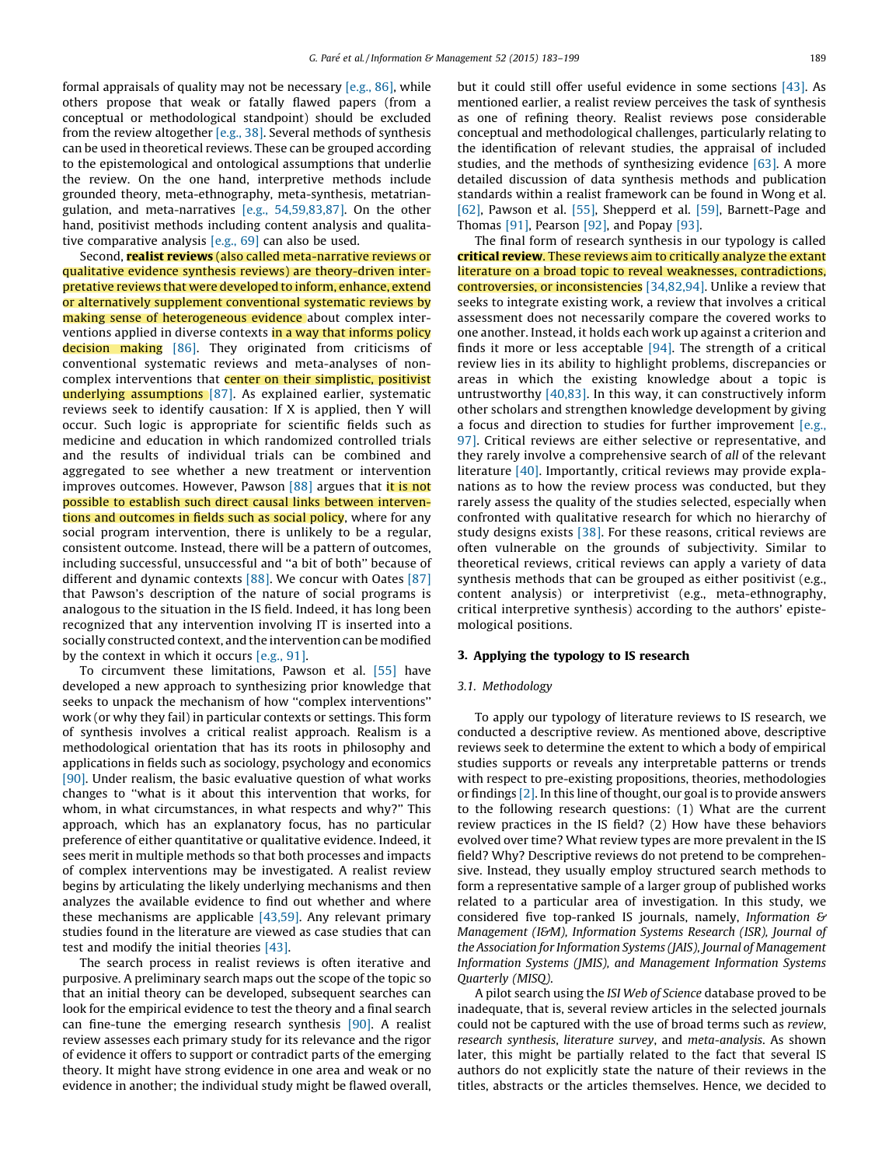formal appraisals of quality may not be necessary [\[e.g.,](#page-16-0) 86], while others propose that weak or fatally flawed papers (from a conceptual or methodological standpoint) should be excluded from the review altogether  $[e.g., 38]$  $[e.g., 38]$ . Several methods of synthesis can be used in theoretical reviews. These can be grouped according to the epistemological and ontological assumptions that underlie the review. On the one hand, interpretive methods include grounded theory, meta-ethnography, meta-synthesis, metatriangulation, and meta-narratives [e.g., [54,59,83,87\]](#page-15-0). On the other hand, positivist methods including content analysis and qualitative comparative analysis [\[e.g.,](#page-15-0) 69] can also be used.

Second, **realist reviews** (also called meta-narrative reviews or qualitative evidence synthesis reviews) are theory-driven interpretative reviews that were developed to inform, enhance, extend or alternatively supplement conventional systematic reviews by making sense of heterogeneous evidence about complex interventions applied in diverse contexts in a way that informs policy decision making [\[86\].](#page-16-0) They originated from criticisms of conventional systematic reviews and meta-analyses of noncomplex interventions that center on their simplistic, positivist underlying assumptions [\[87\].](#page-16-0) As explained earlier, systematic reviews seek to identify causation: If X is applied, then Y will occur. Such logic is appropriate for scientific fields such as medicine and education in which randomized controlled trials and the results of individual trials can be combined and aggregated to see whether a new treatment or intervention improves outcomes. However, Pawson [\[88\]](#page-16-0) argues that it is not possible to establish such direct causal links between interventions and outcomes in fields such as social policy, where for any social program intervention, there is unlikely to be a regular, consistent outcome. Instead, there will be a pattern of outcomes, including successful, unsuccessful and ''a bit of both'' because of different and dynamic contexts [\[88\].](#page-16-0) We concur with Oates [\[87\]](#page-16-0) that Pawson's description of the nature of social programs is analogous to the situation in the IS field. Indeed, it has long been recognized that any intervention involving IT is inserted into a socially constructed context, and the intervention can be modified by the context in which it occurs [\[e.g.,](#page-16-0) 91].

To circumvent these limitations, Pawson et al. [\[55\]](#page-15-0) have developed a new approach to synthesizing prior knowledge that seeks to unpack the mechanism of how "complex interventions" work (or why they fail) in particular contexts or settings. This form of synthesis involves a critical realist approach. Realism is a methodological orientation that has its roots in philosophy and applications in fields such as sociology, psychology and economics [\[90\]](#page-16-0). Under realism, the basic evaluative question of what works changes to ''what is it about this intervention that works, for whom, in what circumstances, in what respects and why?'' This approach, which has an explanatory focus, has no particular preference of either quantitative or qualitative evidence. Indeed, it sees merit in multiple methods so that both processes and impacts of complex interventions may be investigated. A realist review begins by articulating the likely underlying mechanisms and then analyzes the available evidence to find out whether and where these mechanisms are applicable [\[43,59\].](#page-15-0) Any relevant primary studies found in the literature are viewed as case studies that can test and modify the initial theories [\[43\]](#page-15-0).

The search process in realist reviews is often iterative and purposive. A preliminary search maps out the scope of the topic so that an initial theory can be developed, subsequent searches can look for the empirical evidence to test the theory and a final search can fine-tune the emerging research synthesis  $[90]$ . A realist review assesses each primary study for its relevance and the rigor of evidence it offers to support or contradict parts of the emerging theory. It might have strong evidence in one area and weak or no evidence in another; the individual study might be flawed overall, but it could still offer useful evidence in some sections [\[43\]](#page-15-0). As mentioned earlier, a realist review perceives the task of synthesis as one of refining theory. Realist reviews pose considerable conceptual and methodological challenges, particularly relating to the identification of relevant studies, the appraisal of included studies, and the methods of synthesizing evidence [\[63\].](#page-15-0) A more detailed discussion of data synthesis methods and publication standards within a realist framework can be found in Wong et al. [\[62\]](#page-15-0), Pawson et al. [\[55\]](#page-15-0), Shepperd et al. [\[59\],](#page-15-0) Barnett-Page and Thomas [\[91\],](#page-16-0) Pearson [\[92\]](#page-16-0), and Popay [\[93\]](#page-16-0).

The final form of research synthesis in our typology is called critical review. These reviews aim to critically analyze the extant literature on a broad topic to reveal weaknesses, contradictions, controversies, or inconsistencies [\[34,82,94\].](#page-15-0) Unlike a review that seeks to integrate existing work, a review that involves a critical assessment does not necessarily compare the covered works to one another. Instead, it holds each work up against a criterion and finds it more or less acceptable [\[94\].](#page-16-0) The strength of a critical review lies in its ability to highlight problems, discrepancies or areas in which the existing knowledge about a topic is untrustworthy [\[40,83\]](#page-15-0). In this way, it can constructively inform other scholars and strengthen knowledge development by giving a focus and direction to studies for further improvement [\[e.g.,](#page-16-0) [97\].](#page-16-0) Critical reviews are either selective or representative, and they rarely involve a comprehensive search of all of the relevant literature [\[40\]](#page-15-0). Importantly, critical reviews may provide explanations as to how the review process was conducted, but they rarely assess the quality of the studies selected, especially when confronted with qualitative research for which no hierarchy of study designs exists [\[38\]](#page-15-0). For these reasons, critical reviews are often vulnerable on the grounds of subjectivity. Similar to theoretical reviews, critical reviews can apply a variety of data synthesis methods that can be grouped as either positivist (e.g., content analysis) or interpretivist (e.g., meta-ethnography, critical interpretive synthesis) according to the authors' epistemological positions.

#### 3. Applying the typology to IS research

#### 3.1. Methodology

To apply our typology of literature reviews to IS research, we conducted a descriptive review. As mentioned above, descriptive reviews seek to determine the extent to which a body of empirical studies supports or reveals any interpretable patterns or trends with respect to pre-existing propositions, theories, methodologies or findings  $[2]$ . In this line of thought, our goal is to provide answers to the following research questions: (1) What are the current review practices in the IS field? (2) How have these behaviors evolved over time? What review types are more prevalent in the IS field? Why? Descriptive reviews do not pretend to be comprehensive. Instead, they usually employ structured search methods to form a representative sample of a larger group of published works related to a particular area of investigation. In this study, we considered five top-ranked IS journals, namely, Information & Management (I&M), Information Systems Research (ISR), Journal of the Association for Information Systems (JAIS), Journal of Management Information Systems (JMIS), and Management Information Systems Quarterly (MISQ).

A pilot search using the ISI Web of Science database proved to be inadequate, that is, several review articles in the selected journals could not be captured with the use of broad terms such as review, research synthesis, literature survey, and meta-analysis. As shown later, this might be partially related to the fact that several IS authors do not explicitly state the nature of their reviews in the titles, abstracts or the articles themselves. Hence, we decided to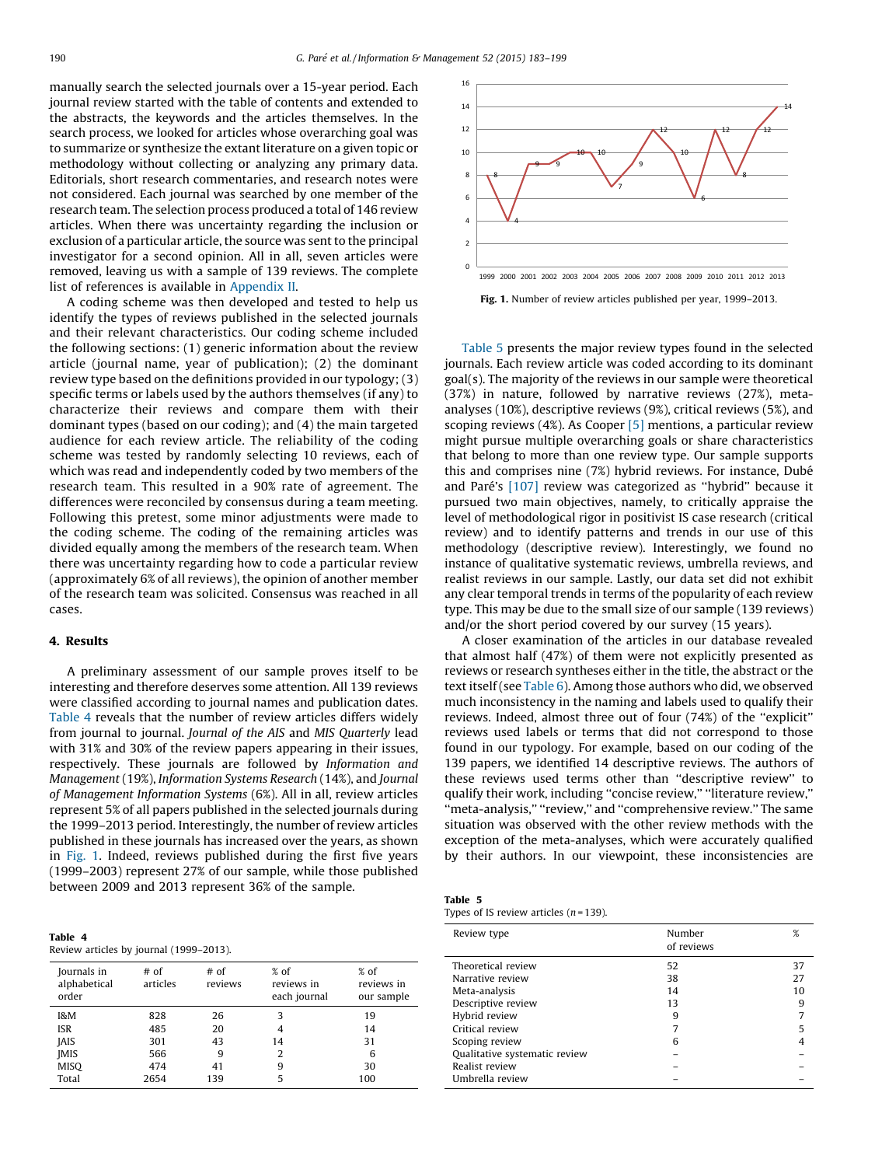manually search the selected journals over a 15-year period. Each journal review started with the table of contents and extended to the abstracts, the keywords and the articles themselves. In the search process, we looked for articles whose overarching goal was to summarize or synthesize the extant literature on a given topic or methodology without collecting or analyzing any primary data. Editorials, short research commentaries, and research notes were not considered. Each journal was searched by one member of the research team. The selection process produced a total of 146 review articles. When there was uncertainty regarding the inclusion or exclusion of a particular article, the source was sent to the principal investigator for a second opinion. All in all, seven articles were removed, leaving us with a sample of 139 reviews. The complete list of references is available in [Appendix](#page-11-0) II.

A coding scheme was then developed and tested to help us identify the types of reviews published in the selected journals and their relevant characteristics. Our coding scheme included the following sections: (1) generic information about the review article (journal name, year of publication); (2) the dominant review type based on the definitions provided in our typology; (3) specific terms or labels used by the authors themselves (if any) to characterize their reviews and compare them with their dominant types (based on our coding); and (4) the main targeted audience for each review article. The reliability of the coding scheme was tested by randomly selecting 10 reviews, each of which was read and independently coded by two members of the research team. This resulted in a 90% rate of agreement. The differences were reconciled by consensus during a team meeting. Following this pretest, some minor adjustments were made to the coding scheme. The coding of the remaining articles was divided equally among the members of the research team. When there was uncertainty regarding how to code a particular review (approximately 6% of all reviews), the opinion of another member of the research team was solicited. Consensus was reached in all cases.

#### 4. Results

A preliminary assessment of our sample proves itself to be interesting and therefore deserves some attention. All 139 reviews were classified according to journal names and publication dates. Table 4 reveals that the number of review articles differs widely from journal to journal. Journal of the AIS and MIS Quarterly lead with 31% and 30% of the review papers appearing in their issues, respectively. These journals are followed by Information and Management (19%), Information Systems Research (14%), and Journal of Management Information Systems (6%). All in all, review articles represent 5% of all papers published in the selected journals during the 1999–2013 period. Interestingly, the number of review articles published in these journals has increased over the years, as shown in Fig. 1. Indeed, reviews published during the first five years (1999–2003) represent 27% of our sample, while those published between 2009 and 2013 represent 36% of the sample.

Review articles by journal (1999–2013).

| Journals in<br>alphabetical<br>order | $#$ of<br>articles | $#$ of<br>reviews | $%$ of<br>reviews in<br>each journal | % of<br>reviews in<br>our sample |
|--------------------------------------|--------------------|-------------------|--------------------------------------|----------------------------------|
| I&M                                  | 828                | 26                | 3                                    | 19                               |
| <b>ISR</b>                           | 485                | 20                | 4                                    | 14                               |
| <b>JAIS</b>                          | 301                | 43                | 14                                   | 31                               |
| <b>IMIS</b>                          | 566                | 9                 | 2                                    | 6                                |
| <b>MISO</b>                          | 474                | 41                | 9                                    | 30                               |
| Total                                | 2654               | 139               | 5                                    | 100                              |



Fig. 1. Number of review articles published per year, 1999–2013.

Table 5 presents the major review types found in the selected journals. Each review article was coded according to its dominant goal(s). The majority of the reviews in our sample were theoretical (37%) in nature, followed by narrative reviews (27%), metaanalyses (10%), descriptive reviews (9%), critical reviews (5%), and scoping reviews (4%). As Cooper [\[5\]](#page-15-0) mentions, a particular review might pursue multiple overarching goals or share characteristics that belong to more than one review type. Our sample supports this and comprises nine (7%) hybrid reviews. For instance, Dubé and Paré's [\[107\]](#page-16-0) review was categorized as "hybrid" because it pursued two main objectives, namely, to critically appraise the level of methodological rigor in positivist IS case research (critical review) and to identify patterns and trends in our use of this methodology (descriptive review). Interestingly, we found no instance of qualitative systematic reviews, umbrella reviews, and realist reviews in our sample. Lastly, our data set did not exhibit any clear temporal trends in terms of the popularity of each review type. This may be due to the small size of our sample (139 reviews) and/or the short period covered by our survey (15 years).

A closer examination of the articles in our database revealed that almost half (47%) of them were not explicitly presented as reviews or research syntheses either in the title, the abstract or the text itself(see [Table](#page-8-0) 6). Among those authors who did, we observed much inconsistency in the naming and labels used to qualify their reviews. Indeed, almost three out of four (74%) of the ''explicit'' reviews used labels or terms that did not correspond to those found in our typology. For example, based on our coding of the 139 papers, we identified 14 descriptive reviews. The authors of these reviews used terms other than ''descriptive review'' to qualify their work, including ''concise review,'' ''literature review,'' "meta-analysis," "review," and "comprehensive review." The same situation was observed with the other review methods with the exception of the meta-analyses, which were accurately qualified by their authors. In our viewpoint, these inconsistencies are

| Table 5 |  |                                         |  |
|---------|--|-----------------------------------------|--|
|         |  | Types of IS review articles $(n=139)$ . |  |

| Review type                   | Number<br>of reviews | %  |
|-------------------------------|----------------------|----|
| Theoretical review            | 52                   | 37 |
| Narrative review              | 38                   | 27 |
| Meta-analysis                 | 14                   | 10 |
| Descriptive review            | 13                   | 9  |
| Hybrid review                 | 9                    |    |
| Critical review               | 7                    |    |
| Scoping review                | 6                    |    |
| Qualitative systematic review |                      |    |
| Realist review                |                      |    |
| Umbrella review               |                      |    |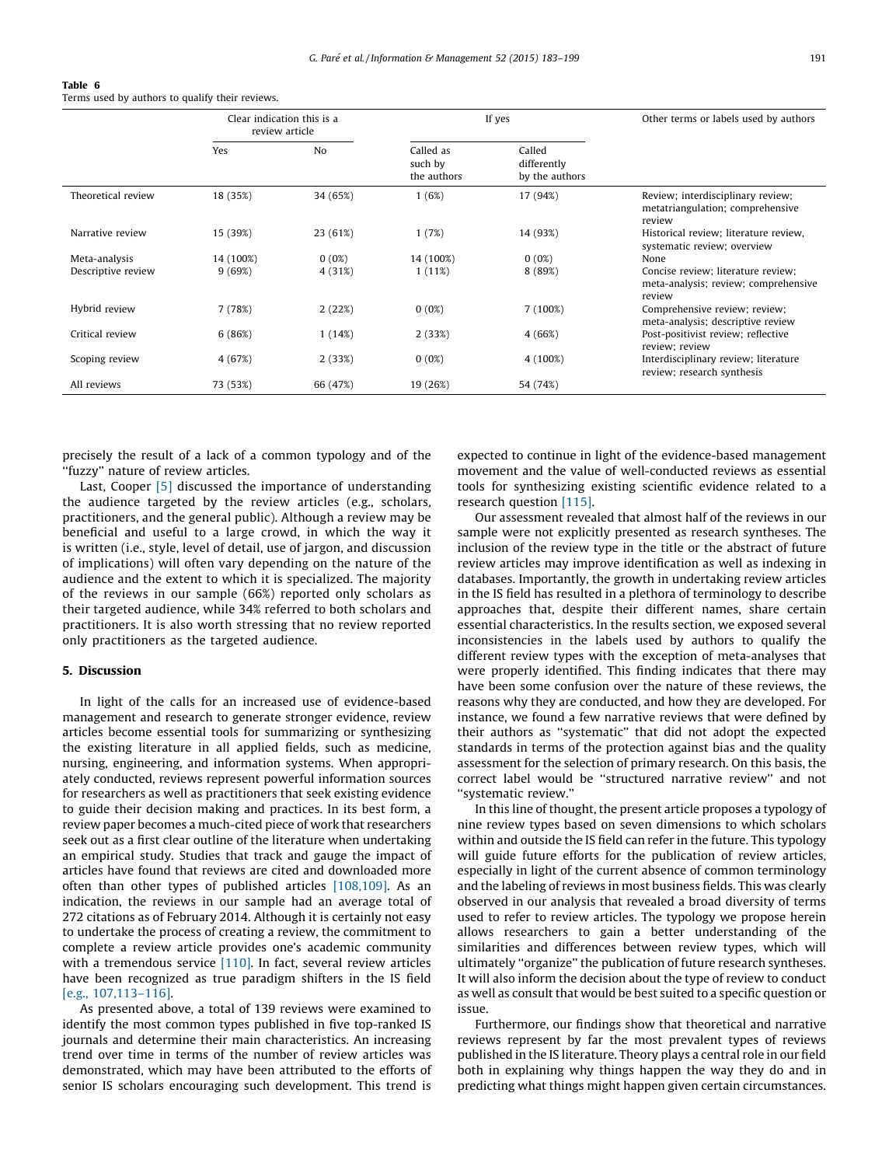<span id="page-8-0"></span>

| Table 6 |  |  |  |                                                 |
|---------|--|--|--|-------------------------------------------------|
|         |  |  |  | Terms used by authors to qualify their reviews. |

|                    | Clear indication this is a<br>review article |                | If yes                              |                                         | Other terms or labels used by authors                                                |
|--------------------|----------------------------------------------|----------------|-------------------------------------|-----------------------------------------|--------------------------------------------------------------------------------------|
|                    | Yes                                          | N <sub>0</sub> | Called as<br>such by<br>the authors | Called<br>differently<br>by the authors |                                                                                      |
| Theoretical review | 18 (35%)                                     | 34 (65%)       | 1(6%)                               | 17 (94%)                                | Review; interdisciplinary review;<br>metatriangulation; comprehensive<br>review      |
| Narrative review   | 15 (39%)                                     | 23 (61%)       | 1(7%)                               | 14 (93%)                                | Historical review; literature review,<br>systematic review; overview                 |
| Meta-analysis      | 14 (100%)                                    | 0(0%)          | 14 (100%)                           | 0(0%)                                   | None                                                                                 |
| Descriptive review | 9(69%)                                       | 4 (31%)        | $1(11\%)$                           | 8 (89%)                                 | Concise review; literature review;<br>meta-analysis; review; comprehensive<br>review |
| Hybrid review      | 7 (78%)                                      | 2(22%)         | $0(0\%)$                            | $7(100\%)$                              | Comprehensive review; review;<br>meta-analysis; descriptive review                   |
| Critical review    | 6(86%)                                       | 1(14%)         | 2(33%)                              | 4(66%)                                  | Post-positivist review; reflective<br>review; review                                 |
| Scoping review     | 4 (67%)                                      | 2(33%)         | $0(0\%)$                            | 4 (100%)                                | Interdisciplinary review; literature<br>review; research synthesis                   |
| All reviews        | 73 (53%)                                     | 66 (47%)       | 19 (26%)                            | 54 (74%)                                |                                                                                      |

precisely the result of a lack of a common typology and of the ''fuzzy'' nature of review articles.

Last, Cooper [\[5\]](#page-15-0) discussed the importance of understanding the audience targeted by the review articles (e.g., scholars, practitioners, and the general public). Although a review may be beneficial and useful to a large crowd, in which the way it is written (i.e., style, level of detail, use of jargon, and discussion of implications) will often vary depending on the nature of the audience and the extent to which it is specialized. The majority of the reviews in our sample (66%) reported only scholars as their targeted audience, while 34% referred to both scholars and practitioners. It is also worth stressing that no review reported only practitioners as the targeted audience.

#### 5. Discussion

In light of the calls for an increased use of evidence-based management and research to generate stronger evidence, review articles become essential tools for summarizing or synthesizing the existing literature in all applied fields, such as medicine, nursing, engineering, and information systems. When appropriately conducted, reviews represent powerful information sources for researchers as well as practitioners that seek existing evidence to guide their decision making and practices. In its best form, a review paper becomes a much-cited piece of work that researchers seek out as a first clear outline of the literature when undertaking an empirical study. Studies that track and gauge the impact of articles have found that reviews are cited and downloaded more often than other types of published articles [\[108,109\].](#page-16-0) As an indication, the reviews in our sample had an average total of 272 citations as of February 2014. Although it is certainly not easy to undertake the process of creating a review, the commitment to complete a review article provides one's academic community with a tremendous service  $[110]$ . In fact, several review articles have been recognized as true paradigm shifters in the IS field [e.g., [107,113–116\]](#page-16-0).

As presented above, a total of 139 reviews were examined to identify the most common types published in five top-ranked IS journals and determine their main characteristics. An increasing trend over time in terms of the number of review articles was demonstrated, which may have been attributed to the efforts of senior IS scholars encouraging such development. This trend is

expected to continue in light of the evidence-based management movement and the value of well-conducted reviews as essential tools for synthesizing existing scientific evidence related to a research question [\[115\].](#page-16-0)

Our assessment revealed that almost half of the reviews in our sample were not explicitly presented as research syntheses. The inclusion of the review type in the title or the abstract of future review articles may improve identification as well as indexing in databases. Importantly, the growth in undertaking review articles in the IS field has resulted in a plethora of terminology to describe approaches that, despite their different names, share certain essential characteristics. In the results section, we exposed several inconsistencies in the labels used by authors to qualify the different review types with the exception of meta-analyses that were properly identified. This finding indicates that there may have been some confusion over the nature of these reviews, the reasons why they are conducted, and how they are developed. For instance, we found a few narrative reviews that were defined by their authors as ''systematic'' that did not adopt the expected standards in terms of the protection against bias and the quality assessment for the selection of primary research. On this basis, the correct label would be ''structured narrative review'' and not ''systematic review.''

In this line of thought, the present article proposes a typology of nine review types based on seven dimensions to which scholars within and outside the IS field can refer in the future. This typology will guide future efforts for the publication of review articles, especially in light of the current absence of common terminology and the labeling of reviews in most business fields. This was clearly observed in our analysis that revealed a broad diversity of terms used to refer to review articles. The typology we propose herein allows researchers to gain a better understanding of the similarities and differences between review types, which will ultimately ''organize'' the publication of future research syntheses. It will also inform the decision about the type of review to conduct as well as consult that would be best suited to a specific question or issue.

Furthermore, our findings show that theoretical and narrative reviews represent by far the most prevalent types of reviews published in the IS literature. Theory plays a central role in our field both in explaining why things happen the way they do and in predicting what things might happen given certain circumstances.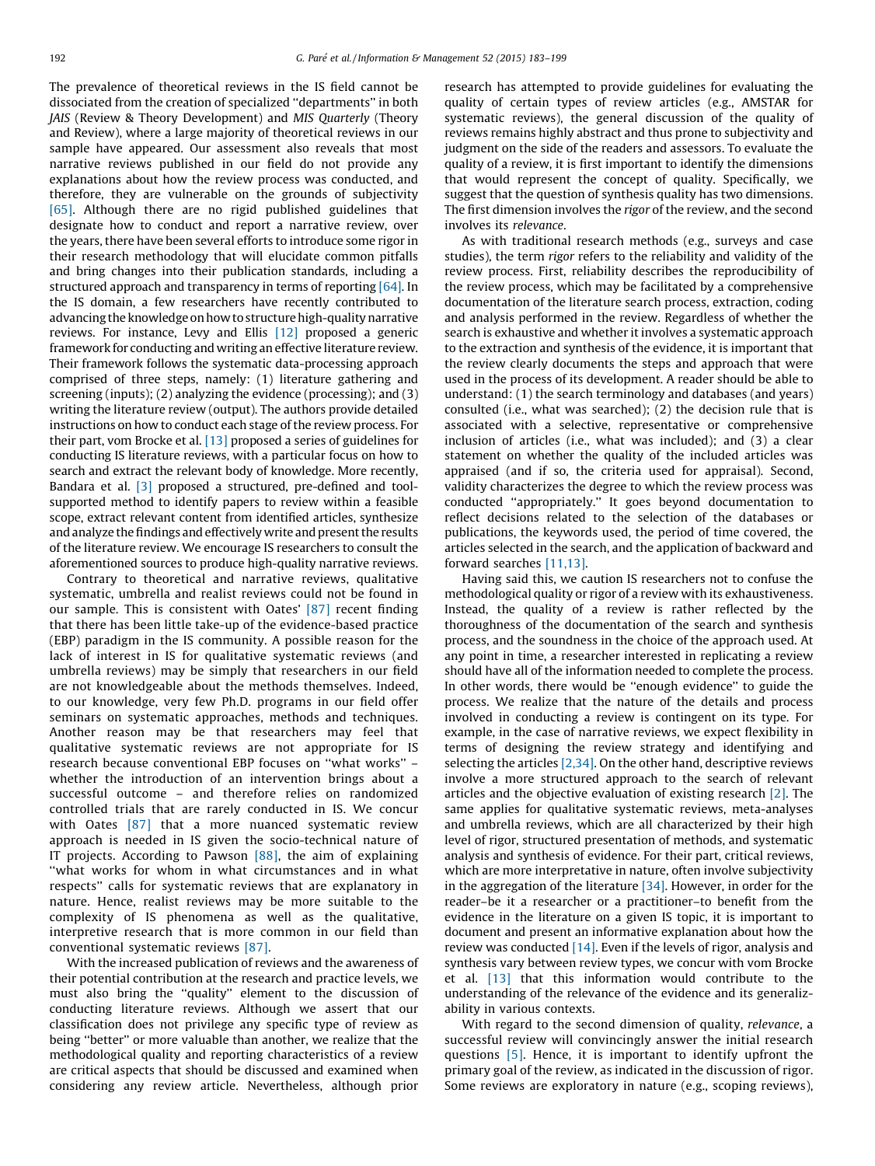The prevalence of theoretical reviews in the IS field cannot be dissociated from the creation of specialized ''departments'' in both JAIS (Review & Theory Development) and MIS Quarterly (Theory and Review), where a large majority of theoretical reviews in our sample have appeared. Our assessment also reveals that most narrative reviews published in our field do not provide any explanations about how the review process was conducted, and therefore, they are vulnerable on the grounds of subjectivity [\[65\]](#page-15-0). Although there are no rigid published guidelines that designate how to conduct and report a narrative review, over the years, there have been several efforts to introduce some rigor in their research methodology that will elucidate common pitfalls and bring changes into their publication standards, including a structured approach and transparency in terms of reporting [\[64\]](#page-15-0). In the IS domain, a few researchers have recently contributed to advancing the knowledge on how to structure high-quality narrative reviews. For instance, Levy and Ellis [\[12\]](#page-15-0) proposed a generic framework for conducting and writing an effective literature review. Their framework follows the systematic data-processing approach comprised of three steps, namely: (1) literature gathering and screening (inputs); (2) analyzing the evidence (processing); and (3) writing the literature review (output). The authors provide detailed instructions on how to conduct each stage of the review process. For their part, vom Brocke et al. [\[13\]](#page-15-0) proposed a series of guidelines for conducting IS literature reviews, with a particular focus on how to search and extract the relevant body of knowledge. More recently, Bandara et al. [\[3\]](#page-14-0) proposed a structured, pre-defined and toolsupported method to identify papers to review within a feasible scope, extract relevant content from identified articles, synthesize and analyze the findings and effectively write and present the results of the literature review. We encourage IS researchers to consult the aforementioned sources to produce high-quality narrative reviews.

Contrary to theoretical and narrative reviews, qualitative systematic, umbrella and realist reviews could not be found in our sample. This is consistent with Oates' [\[87\]](#page-16-0) recent finding that there has been little take-up of the evidence-based practice (EBP) paradigm in the IS community. A possible reason for the lack of interest in IS for qualitative systematic reviews (and umbrella reviews) may be simply that researchers in our field are not knowledgeable about the methods themselves. Indeed, to our knowledge, very few Ph.D. programs in our field offer seminars on systematic approaches, methods and techniques. Another reason may be that researchers may feel that qualitative systematic reviews are not appropriate for IS research because conventional EBP focuses on ''what works'' – whether the introduction of an intervention brings about a successful outcome – and therefore relies on randomized controlled trials that are rarely conducted in IS. We concur with Oates [\[87\]](#page-16-0) that a more nuanced systematic review approach is needed in IS given the socio-technical nature of IT projects. According to Pawson [\[88\]](#page-16-0), the aim of explaining ''what works for whom in what circumstances and in what respects'' calls for systematic reviews that are explanatory in nature. Hence, realist reviews may be more suitable to the complexity of IS phenomena as well as the qualitative, interpretive research that is more common in our field than conventional systematic reviews [\[87\].](#page-16-0)

With the increased publication of reviews and the awareness of their potential contribution at the research and practice levels, we must also bring the ''quality'' element to the discussion of conducting literature reviews. Although we assert that our classification does not privilege any specific type of review as being ''better'' or more valuable than another, we realize that the methodological quality and reporting characteristics of a review are critical aspects that should be discussed and examined when considering any review article. Nevertheless, although prior

research has attempted to provide guidelines for evaluating the quality of certain types of review articles (e.g., AMSTAR for systematic reviews), the general discussion of the quality of reviews remains highly abstract and thus prone to subjectivity and judgment on the side of the readers and assessors. To evaluate the quality of a review, it is first important to identify the dimensions that would represent the concept of quality. Specifically, we suggest that the question of synthesis quality has two dimensions. The first dimension involves the rigor of the review, and the second involves its relevance.

As with traditional research methods (e.g., surveys and case studies), the term rigor refers to the reliability and validity of the review process. First, reliability describes the reproducibility of the review process, which may be facilitated by a comprehensive documentation of the literature search process, extraction, coding and analysis performed in the review. Regardless of whether the search is exhaustive and whether it involves a systematic approach to the extraction and synthesis of the evidence, it is important that the review clearly documents the steps and approach that were used in the process of its development. A reader should be able to understand: (1) the search terminology and databases (and years) consulted (i.e., what was searched); (2) the decision rule that is associated with a selective, representative or comprehensive inclusion of articles (i.e., what was included); and (3) a clear statement on whether the quality of the included articles was appraised (and if so, the criteria used for appraisal). Second, validity characterizes the degree to which the review process was conducted ''appropriately.'' It goes beyond documentation to reflect decisions related to the selection of the databases or publications, the keywords used, the period of time covered, the articles selected in the search, and the application of backward and forward searches [\[11,13\].](#page-15-0)

Having said this, we caution IS researchers not to confuse the methodological quality or rigor of a review with its exhaustiveness. Instead, the quality of a review is rather reflected by the thoroughness of the documentation of the search and synthesis process, and the soundness in the choice of the approach used. At any point in time, a researcher interested in replicating a review should have all of the information needed to complete the process. In other words, there would be ''enough evidence'' to guide the process. We realize that the nature of the details and process involved in conducting a review is contingent on its type. For example, in the case of narrative reviews, we expect flexibility in terms of designing the review strategy and identifying and selecting the articles  $[2,34]$ . On the other hand, descriptive reviews involve a more structured approach to the search of relevant articles and the objective evaluation of existing research [\[2\]](#page-14-0). The same applies for qualitative systematic reviews, meta-analyses and umbrella reviews, which are all characterized by their high level of rigor, structured presentation of methods, and systematic analysis and synthesis of evidence. For their part, critical reviews, which are more interpretative in nature, often involve subjectivity in the aggregation of the literature [\[34\].](#page-15-0) However, in order for the reader–be it a researcher or a practitioner–to benefit from the evidence in the literature on a given IS topic, it is important to document and present an informative explanation about how the review was conducted  $[14]$ . Even if the levels of rigor, analysis and synthesis vary between review types, we concur with vom Brocke et al. [\[13\]](#page-15-0) that this information would contribute to the understanding of the relevance of the evidence and its generalizability in various contexts.

With regard to the second dimension of quality, relevance, a successful review will convincingly answer the initial research questions [\[5\]](#page-15-0). Hence, it is important to identify upfront the primary goal of the review, as indicated in the discussion of rigor. Some reviews are exploratory in nature (e.g., scoping reviews),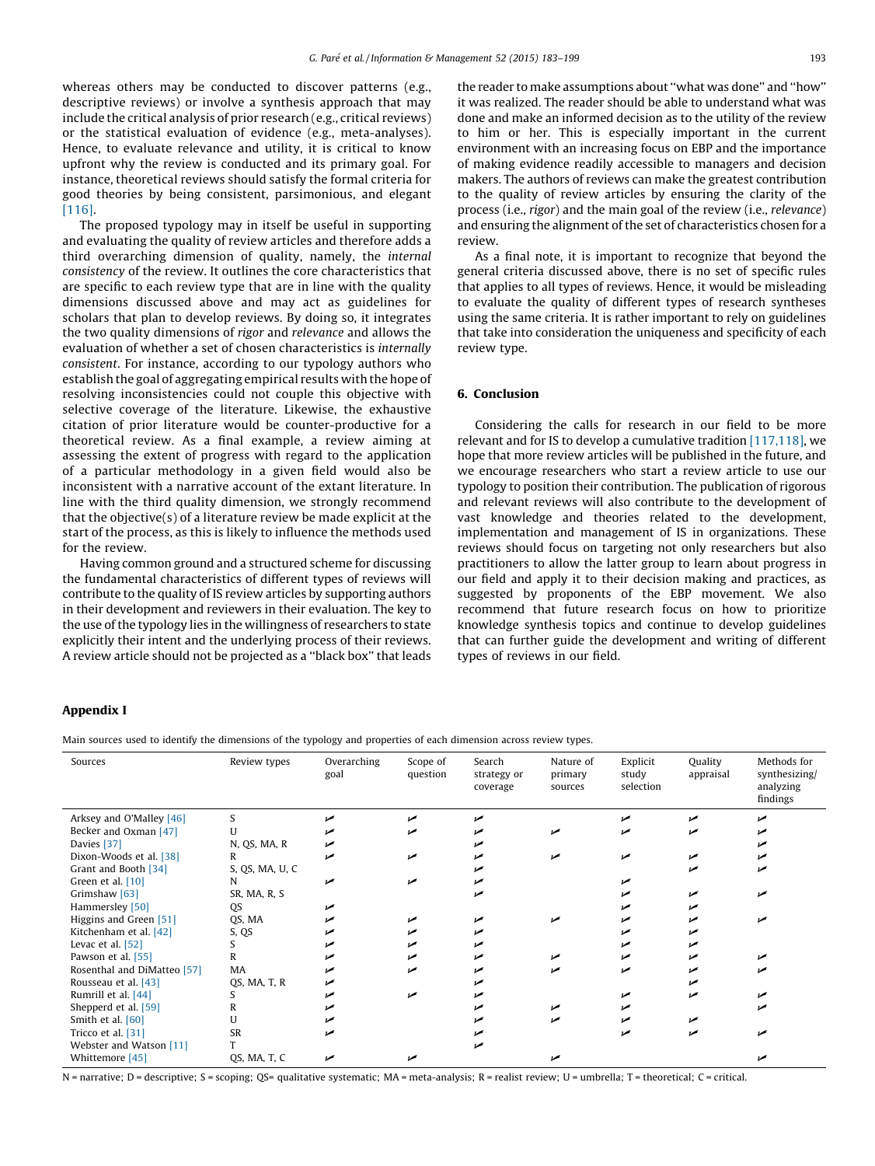<span id="page-10-0"></span>whereas others may be conducted to discover patterns (e.g., descriptive reviews) or involve a synthesis approach that may include the critical analysis of prior research (e.g., critical reviews) or the statistical evaluation of evidence (e.g., meta-analyses). Hence, to evaluate relevance and utility, it is critical to know upfront why the review is conducted and its primary goal. For instance, theoretical reviews should satisfy the formal criteria for good theories by being consistent, parsimonious, and elegant [\[116\].](#page-16-0)

The proposed typology may in itself be useful in supporting and evaluating the quality of review articles and therefore adds a third overarching dimension of quality, namely, the internal consistency of the review. It outlines the core characteristics that are specific to each review type that are in line with the quality dimensions discussed above and may act as guidelines for scholars that plan to develop reviews. By doing so, it integrates the two quality dimensions of rigor and relevance and allows the evaluation of whether a set of chosen characteristics is internally consistent. For instance, according to our typology authors who establish the goal of aggregating empirical results with the hope of resolving inconsistencies could not couple this objective with selective coverage of the literature. Likewise, the exhaustive citation of prior literature would be counter-productive for a theoretical review. As a final example, a review aiming at assessing the extent of progress with regard to the application of a particular methodology in a given field would also be inconsistent with a narrative account of the extant literature. In line with the third quality dimension, we strongly recommend that the objective(s) of a literature review be made explicit at the start of the process, as this is likely to influence the methods used for the review.

Having common ground and a structured scheme for discussing the fundamental characteristics of different types of reviews will contribute to the quality of IS review articles by supporting authors in their development and reviewers in their evaluation. The key to the use of the typology lies in the willingness of researchers to state explicitly their intent and the underlying process of their reviews. A review article should not be projected as a ''black box'' that leads

the reader to make assumptions about''what was done'' and ''how'' it was realized. The reader should be able to understand what was done and make an informed decision as to the utility of the review to him or her. This is especially important in the current environment with an increasing focus on EBP and the importance of making evidence readily accessible to managers and decision makers. The authors of reviews can make the greatest contribution to the quality of review articles by ensuring the clarity of the process (i.e., rigor) and the main goal of the review (i.e., relevance) and ensuring the alignment of the set of characteristics chosen for a review.

As a final note, it is important to recognize that beyond the general criteria discussed above, there is no set of specific rules that applies to all types of reviews. Hence, it would be misleading to evaluate the quality of different types of research syntheses using the same criteria. It is rather important to rely on guidelines that take into consideration the uniqueness and specificity of each review type.

#### 6. Conclusion

Considering the calls for research in our field to be more relevant and for IS to develop a cumulative tradition [\[117,118\]](#page-16-0), we hope that more review articles will be published in the future, and we encourage researchers who start a review article to use our typology to position their contribution. The publication of rigorous and relevant reviews will also contribute to the development of vast knowledge and theories related to the development, implementation and management of IS in organizations. These reviews should focus on targeting not only researchers but also practitioners to allow the latter group to learn about progress in our field and apply it to their decision making and practices, as suggested by proponents of the EBP movement. We also recommend that future research focus on how to prioritize knowledge synthesis topics and continue to develop guidelines that can further guide the development and writing of different types of reviews in our field.

#### Appendix I

Main sources used to identify the dimensions of the typology and properties of each dimension across review types.

| Sources                     | Review types    | Overarching<br>goal | Scope of<br>question | Search<br>strategy or<br>coverage | Nature of<br>primary<br>sources | Explicit<br>study<br>selection | Quality<br>appraisal | Methods for<br>synthesizing/<br>analyzing<br>findings |
|-----------------------------|-----------------|---------------------|----------------------|-----------------------------------|---------------------------------|--------------------------------|----------------------|-------------------------------------------------------|
| Arksey and O'Malley [46]    | S               |                     |                      | ممن                               |                                 |                                |                      |                                                       |
| Becker and Oxman [47]       | U               |                     |                      |                                   |                                 |                                |                      |                                                       |
| Davies [37]                 | N, QS, MA, R    |                     |                      |                                   |                                 |                                |                      |                                                       |
| Dixon-Woods et al. [38]     | R               |                     |                      |                                   |                                 |                                |                      |                                                       |
| Grant and Booth [34]        | S, QS, MA, U, C |                     |                      |                                   |                                 |                                |                      |                                                       |
| Green et al. [10]           | N               |                     |                      |                                   |                                 |                                |                      |                                                       |
| Grimshaw [63]               | SR, MA, R, S    |                     |                      |                                   |                                 |                                |                      |                                                       |
| Hammersley [50]             | QS              |                     |                      |                                   |                                 |                                |                      |                                                       |
| Higgins and Green [51]      | QS, MA          |                     |                      |                                   |                                 |                                |                      |                                                       |
| Kitchenham et al. [42]      | S, QS           |                     |                      |                                   |                                 |                                |                      |                                                       |
| Levac et al. $[52]$         |                 |                     |                      |                                   |                                 |                                |                      |                                                       |
| Pawson et al. [55]          | R               |                     |                      |                                   |                                 |                                |                      |                                                       |
| Rosenthal and DiMatteo [57] | MA              |                     |                      |                                   |                                 |                                |                      |                                                       |
| Rousseau et al. [43]        | QS, MA, T, R    |                     |                      |                                   |                                 |                                |                      |                                                       |
| Rumrill et al. [44]         | S               |                     |                      |                                   |                                 |                                |                      |                                                       |
| Shepperd et al. [59]        | R               |                     |                      |                                   |                                 |                                |                      |                                                       |
| Smith et al. [60]           |                 |                     |                      |                                   |                                 |                                |                      |                                                       |
| Tricco et al. [31]          | <b>SR</b>       |                     |                      |                                   |                                 |                                |                      |                                                       |
| Webster and Watson [11]     |                 |                     |                      |                                   |                                 |                                |                      |                                                       |
| Whittemore [45]             | QS, MA, T, C    |                     |                      |                                   |                                 |                                |                      |                                                       |

 $N$  = narrative; D = descriptive; S = scoping; QS = qualitative systematic; MA = meta-analysis; R = realist review; U = umbrella; T = theoretical; C = critical.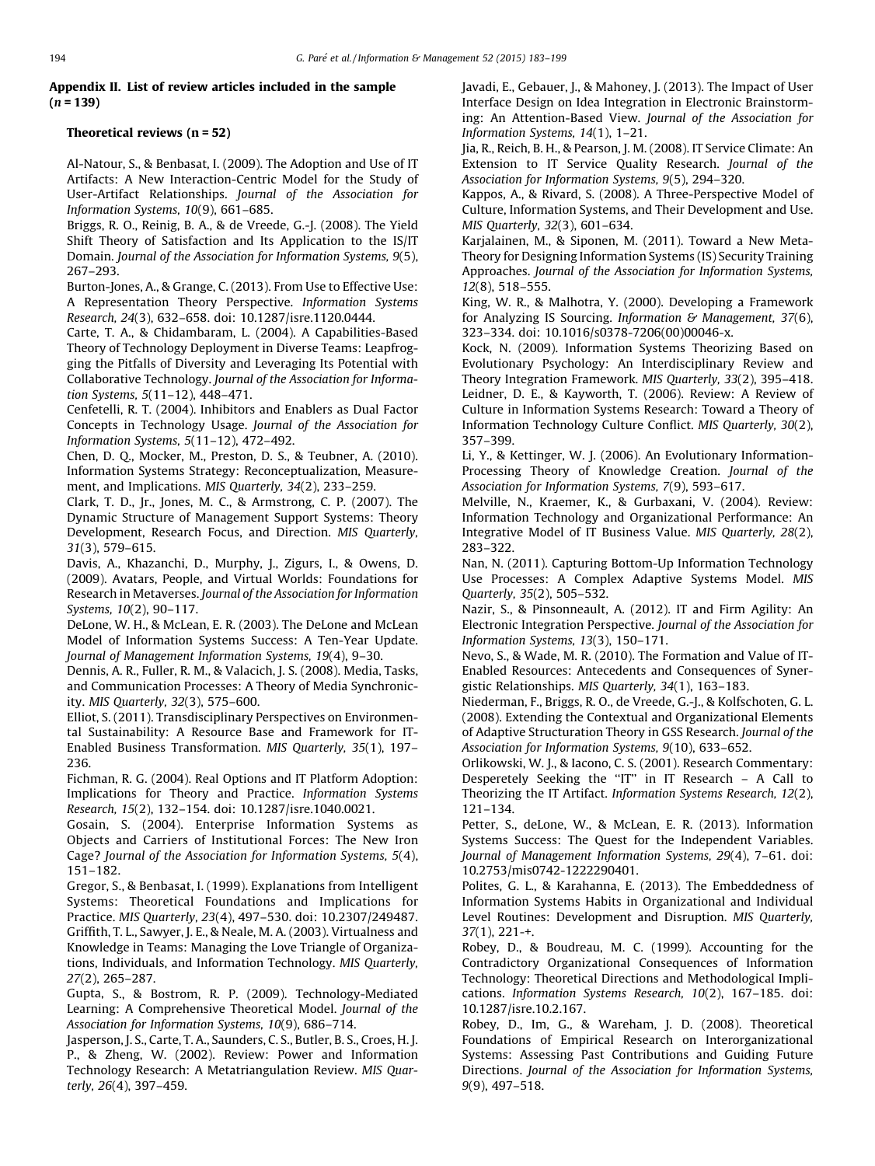## <span id="page-11-0"></span>Appendix II. List of review articles included in the sample  $(n = 139)$

## Theoretical reviews (n = 52)

Al-Natour, S., & Benbasat, I. (2009). The Adoption and Use of IT Artifacts: A New Interaction-Centric Model for the Study of User-Artifact Relationships. Journal of the Association for Information Systems, 10(9), 661–685.

Briggs, R. O., Reinig, B. A., & de Vreede, G.-J. (2008). The Yield Shift Theory of Satisfaction and Its Application to the IS/IT Domain. Journal of the Association for Information Systems, 9(5), 267–293.

Burton-Jones, A., & Grange, C. (2013). From Use to Effective Use: A Representation Theory Perspective. Information Systems Research, 24(3), 632–658. doi: 10.1287/isre.1120.0444.

Carte, T. A., & Chidambaram, L. (2004). A Capabilities-Based Theory of Technology Deployment in Diverse Teams: Leapfrogging the Pitfalls of Diversity and Leveraging Its Potential with Collaborative Technology. Journal of the Association for Information Systems, 5(11–12), 448–471.

Cenfetelli, R. T. (2004). Inhibitors and Enablers as Dual Factor Concepts in Technology Usage. Journal of the Association for Information Systems, 5(11–12), 472–492.

Chen, D. Q., Mocker, M., Preston, D. S., & Teubner, A. (2010). Information Systems Strategy: Reconceptualization, Measurement, and Implications. MIS Quarterly, 34(2), 233–259.

Clark, T. D., Jr., Jones, M. C., & Armstrong, C. P. (2007). The Dynamic Structure of Management Support Systems: Theory Development, Research Focus, and Direction. MIS Quarterly, 31(3), 579–615.

Davis, A., Khazanchi, D., Murphy, J., Zigurs, I., & Owens, D. (2009). Avatars, People, and Virtual Worlds: Foundations for Research in Metaverses. Journal of the Association for Information Systems, 10(2), 90–117.

DeLone, W. H., & McLean, E. R. (2003). The DeLone and McLean Model of Information Systems Success: A Ten-Year Update. Journal of Management Information Systems, 19(4), 9–30.

Dennis, A. R., Fuller, R. M., & Valacich, J. S. (2008). Media, Tasks, and Communication Processes: A Theory of Media Synchronicity. MIS Quarterly, 32(3), 575–600.

Elliot, S. (2011). Transdisciplinary Perspectives on Environmental Sustainability: A Resource Base and Framework for IT-Enabled Business Transformation. MIS Quarterly, 35(1), 197– 236.

Fichman, R. G. (2004). Real Options and IT Platform Adoption: Implications for Theory and Practice. Information Systems Research, 15(2), 132–154. doi: 10.1287/isre.1040.0021.

Gosain, S. (2004). Enterprise Information Systems as Objects and Carriers of Institutional Forces: The New Iron Cage? Journal of the Association for Information Systems, 5(4), 151–182.

Gregor, S., & Benbasat, I. (1999). Explanations from Intelligent Systems: Theoretical Foundations and Implications for Practice. MIS Quarterly, 23(4), 497–530. doi: 10.2307/249487. Griffith, T. L., Sawyer, J. E., & Neale, M. A. (2003). Virtualness and Knowledge in Teams: Managing the Love Triangle of Organizations, Individuals, and Information Technology. MIS Quarterly, 27(2), 265–287.

Gupta, S., & Bostrom, R. P. (2009). Technology-Mediated Learning: A Comprehensive Theoretical Model. Journal of the Association for Information Systems, 10(9), 686–714.

Jasperson, J. S., Carte, T. A., Saunders, C. S., Butler, B. S., Croes, H. J. P., & Zheng, W. (2002). Review: Power and Information Technology Research: A Metatriangulation Review. MIS Quarterly, 26(4), 397–459.

Javadi, E., Gebauer, J., & Mahoney, J. (2013). The Impact of User Interface Design on Idea Integration in Electronic Brainstorming: An Attention-Based View. Journal of the Association for Information Systems, 14(1), 1–21.

Jia, R., Reich, B. H., & Pearson, J. M. (2008). IT Service Climate: An Extension to IT Service Quality Research. Journal of the Association for Information Systems, 9(5), 294–320.

Kappos, A., & Rivard, S. (2008). A Three-Perspective Model of Culture, Information Systems, and Their Development and Use. MIS Quarterly, 32(3), 601–634.

Karjalainen, M., & Siponen, M. (2011). Toward a New Meta-Theory for Designing Information Systems (IS) Security Training Approaches. Journal of the Association for Information Systems, 12(8), 518–555.

King, W. R., & Malhotra, Y. (2000). Developing a Framework for Analyzing IS Sourcing. Information  $\mathcal G$  Management, 37(6), 323–334. doi: 10.1016/s0378-7206(00)00046-x.

Kock, N. (2009). Information Systems Theorizing Based on Evolutionary Psychology: An Interdisciplinary Review and Theory Integration Framework. MIS Quarterly, 33(2), 395–418. Leidner, D. E., & Kayworth, T. (2006). Review: A Review of Culture in Information Systems Research: Toward a Theory of Information Technology Culture Conflict. MIS Quarterly, 30(2), 357–399.

Li, Y., & Kettinger, W. J. (2006). An Evolutionary Information-Processing Theory of Knowledge Creation. Journal of the Association for Information Systems, 7(9), 593–617.

Melville, N., Kraemer, K., & Gurbaxani, V. (2004). Review: Information Technology and Organizational Performance: An Integrative Model of IT Business Value. MIS Quarterly, 28(2), 283–322.

Nan, N. (2011). Capturing Bottom-Up Information Technology Use Processes: A Complex Adaptive Systems Model. MIS Quarterly, 35(2), 505–532.

Nazir, S., & Pinsonneault, A. (2012). IT and Firm Agility: An Electronic Integration Perspective. Journal of the Association for Information Systems, 13(3), 150–171.

Nevo, S., & Wade, M. R. (2010). The Formation and Value of IT-Enabled Resources: Antecedents and Consequences of Synergistic Relationships. MIS Quarterly, 34(1), 163–183.

Niederman, F., Briggs, R. O., de Vreede, G.-J., & Kolfschoten, G. L. (2008). Extending the Contextual and Organizational Elements of Adaptive Structuration Theory in GSS Research. Journal of the Association for Information Systems, 9(10), 633–652.

Orlikowski, W. J., & Iacono, C. S. (2001). Research Commentary: Desperetely Seeking the ''IT'' in IT Research – A Call to Theorizing the IT Artifact. Information Systems Research, 12(2), 121–134.

Petter, S., deLone, W., & McLean, E. R. (2013). Information Systems Success: The Quest for the Independent Variables. Journal of Management Information Systems, 29(4), 7–61. doi: 10.2753/mis0742-1222290401.

Polites, G. L., & Karahanna, E. (2013). The Embeddedness of Information Systems Habits in Organizational and Individual Level Routines: Development and Disruption. MIS Quarterly, 37(1), 221-+.

Robey, D., & Boudreau, M. C. (1999). Accounting for the Contradictory Organizational Consequences of Information Technology: Theoretical Directions and Methodological Implications. Information Systems Research, 10(2), 167–185. doi: 10.1287/isre.10.2.167.

Robey, D., Im, G., & Wareham, J. D. (2008). Theoretical Foundations of Empirical Research on Interorganizational Systems: Assessing Past Contributions and Guiding Future Directions. Journal of the Association for Information Systems, 9(9), 497–518.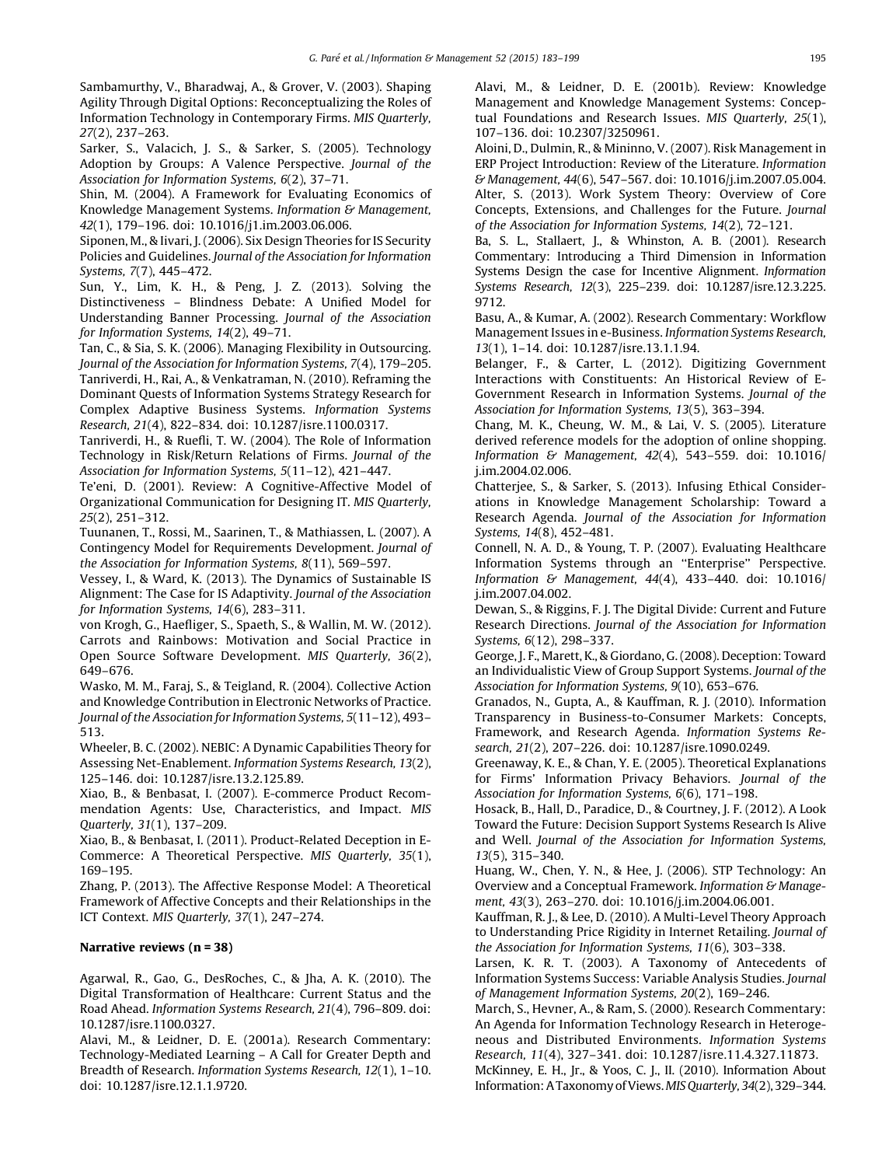Sambamurthy, V., Bharadwaj, A., & Grover, V. (2003). Shaping Agility Through Digital Options: Reconceptualizing the Roles of Information Technology in Contemporary Firms. MIS Quarterly, 27(2), 237–263.

Sarker, S., Valacich, J. S., & Sarker, S. (2005). Technology Adoption by Groups: A Valence Perspective. Journal of the Association for Information Systems, 6(2), 37–71.

Shin, M. (2004). A Framework for Evaluating Economics of Knowledge Management Systems. Information & Management, 42(1), 179–196. doi: 10.1016/j1.im.2003.06.006.

Siponen, M., & Iivari, J. (2006). Six Design Theories for IS Security Policies and Guidelines. Journal of the Association for Information Systems, 7(7), 445–472.

Sun, Y., Lim, K. H., & Peng, J. Z. (2013). Solving the Distinctiveness – Blindness Debate: A Unified Model for Understanding Banner Processing. Journal of the Association for Information Systems, 14(2), 49–71.

Tan, C., & Sia, S. K. (2006). Managing Flexibility in Outsourcing. Journal of the Association for Information Systems, 7(4), 179–205. Tanriverdi, H., Rai, A., & Venkatraman, N. (2010). Reframing the Dominant Quests of Information Systems Strategy Research for Complex Adaptive Business Systems. Information Systems Research, 21(4), 822–834. doi: 10.1287/isre.1100.0317.

Tanriverdi, H., & Ruefli, T. W. (2004). The Role of Information Technology in Risk/Return Relations of Firms. Journal of the Association for Information Systems, 5(11–12), 421–447.

Te'eni, D. (2001). Review: A Cognitive-Affective Model of Organizational Communication for Designing IT. MIS Quarterly, 25(2), 251–312.

Tuunanen, T., Rossi, M., Saarinen, T., & Mathiassen, L. (2007). A Contingency Model for Requirements Development. Journal of the Association for Information Systems, 8(11), 569–597.

Vessey, I., & Ward, K. (2013). The Dynamics of Sustainable IS Alignment: The Case for IS Adaptivity. Journal of the Association for Information Systems, 14(6), 283–311.

von Krogh, G., Haefliger, S., Spaeth, S., & Wallin, M. W. (2012). Carrots and Rainbows: Motivation and Social Practice in Open Source Software Development. MIS Quarterly, 36(2), 649–676.

Wasko, M. M., Faraj, S., & Teigland, R. (2004). Collective Action and Knowledge Contribution in Electronic Networks of Practice. Journal of the Association for Information Systems, 5(11-12), 493-513.

Wheeler, B. C. (2002). NEBIC: A Dynamic Capabilities Theory for Assessing Net-Enablement. Information Systems Research, 13(2), 125–146. doi: 10.1287/isre.13.2.125.89.

Xiao, B., & Benbasat, I. (2007). E-commerce Product Recommendation Agents: Use, Characteristics, and Impact. MIS Quarterly, 31(1), 137–209.

Xiao, B., & Benbasat, I. (2011). Product-Related Deception in E-Commerce: A Theoretical Perspective. MIS Quarterly, 35(1), 169–195.

Zhang, P. (2013). The Affective Response Model: A Theoretical Framework of Affective Concepts and their Relationships in the ICT Context. MIS Quarterly, 37(1), 247–274.

### Narrative reviews (n = 38)

Agarwal, R., Gao, G., DesRoches, C., & Jha, A. K. (2010). The Digital Transformation of Healthcare: Current Status and the Road Ahead. Information Systems Research, 21(4), 796–809. doi: 10.1287/isre.1100.0327.

Alavi, M., & Leidner, D. E. (2001a). Research Commentary: Technology-Mediated Learning – A Call for Greater Depth and Breadth of Research. Information Systems Research, 12(1), 1–10. doi: 10.1287/isre.12.1.1.9720.

Alavi, M., & Leidner, D. E. (2001b). Review: Knowledge Management and Knowledge Management Systems: Conceptual Foundations and Research Issues. MIS Quarterly, 25(1), 107–136. doi: 10.2307/3250961.

Aloini, D., Dulmin, R., & Mininno, V. (2007). Risk Management in ERP Project Introduction: Review of the Literature. Information & Management, 44(6), 547–567. doi: 10.1016/j.im.2007.05.004. Alter, S. (2013). Work System Theory: Overview of Core Concepts, Extensions, and Challenges for the Future. Journal of the Association for Information Systems, 14(2), 72–121.

Ba, S. L., Stallaert, J., & Whinston, A. B. (2001). Research Commentary: Introducing a Third Dimension in Information Systems Design the case for Incentive Alignment. Information Systems Research, 12(3), 225–239. doi: 10.1287/isre.12.3.225. 9712.

Basu, A., & Kumar, A. (2002). Research Commentary: Workflow Management Issues in e-Business. *Information Systems Research*, 13(1), 1–14. doi: 10.1287/isre.13.1.1.94.

Belanger, F., & Carter, L. (2012). Digitizing Government Interactions with Constituents: An Historical Review of E-Government Research in Information Systems. Journal of the Association for Information Systems, 13(5), 363–394.

Chang, M. K., Cheung, W. M., & Lai, V. S. (2005). Literature derived reference models for the adoption of online shopping. Information & Management, 42(4), 543–559. doi: 10.1016/ j.im.2004.02.006.

Chatterjee, S., & Sarker, S. (2013). Infusing Ethical Considerations in Knowledge Management Scholarship: Toward a Research Agenda. Journal of the Association for Information Systems, 14(8), 452–481.

Connell, N. A. D., & Young, T. P. (2007). Evaluating Healthcare Information Systems through an ''Enterprise'' Perspective. Information & Management, 44(4), 433–440. doi: 10.1016/ j.im.2007.04.002.

Dewan, S., & Riggins, F. J. The Digital Divide: Current and Future Research Directions. Journal of the Association for Information Systems, 6(12), 298–337.

George, J. F., Marett, K., & Giordano, G.(2008). Deception: Toward an Individualistic View of Group Support Systems. Journal of the Association for Information Systems, 9(10), 653–676.

Granados, N., Gupta, A., & Kauffman, R. J. (2010). Information Transparency in Business-to-Consumer Markets: Concepts, Framework, and Research Agenda. Information Systems Research, 21(2), 207–226. doi: 10.1287/isre.1090.0249.

Greenaway, K. E., & Chan, Y. E. (2005). Theoretical Explanations for Firms' Information Privacy Behaviors. Journal of the Association for Information Systems, 6(6), 171–198.

Hosack, B., Hall, D., Paradice, D., & Courtney, J. F. (2012). A Look Toward the Future: Decision Support Systems Research Is Alive and Well. Journal of the Association for Information Systems, 13(5), 315–340.

Huang, W., Chen, Y. N., & Hee, J. (2006). STP Technology: An Overview and a Conceptual Framework. Information & Management, 43(3), 263–270. doi: 10.1016/j.im.2004.06.001.

Kauffman, R. J., & Lee, D. (2010). A Multi-Level Theory Approach to Understanding Price Rigidity in Internet Retailing. Journal of the Association for Information Systems, 11(6), 303–338.

Larsen, K. R. T. (2003). A Taxonomy of Antecedents of Information Systems Success: Variable Analysis Studies. Journal of Management Information Systems, 20(2), 169–246.

March, S., Hevner, A., & Ram, S. (2000). Research Commentary: An Agenda for Information Technology Research in Heterogeneous and Distributed Environments. Information Systems Research, 11(4), 327–341. doi: 10.1287/isre.11.4.327.11873.

McKinney, E. H., Jr., & Yoos, C. J., II. (2010). Information About Information: A Taxonomy of Views. MIS Quarterly, 34(2), 329–344.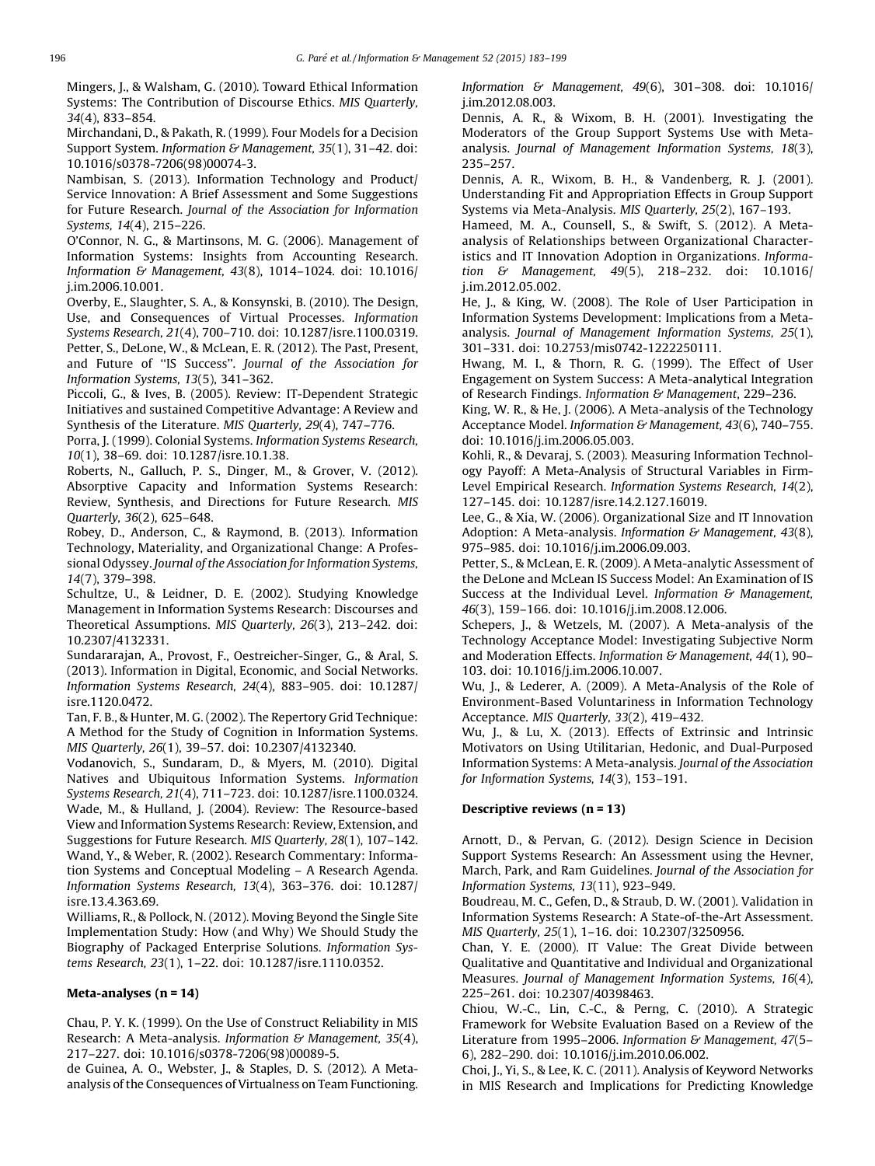Mingers, J., & Walsham, G. (2010). Toward Ethical Information Systems: The Contribution of Discourse Ethics. MIS Quarterly, 34(4), 833–854.

Mirchandani, D., & Pakath, R. (1999). Four Models for a Decision Support System. Information & Management, 35(1), 31-42. doi: 10.1016/s0378-7206(98)00074-3.

Nambisan, S. (2013). Information Technology and Product/ Service Innovation: A Brief Assessment and Some Suggestions for Future Research. Journal of the Association for Information Systems, 14(4), 215–226.

O'Connor, N. G., & Martinsons, M. G. (2006). Management of Information Systems: Insights from Accounting Research. Information & Management, 43(8), 1014–1024. doi: 10.1016/ j.im.2006.10.001.

Overby, E., Slaughter, S. A., & Konsynski, B. (2010). The Design, Use, and Consequences of Virtual Processes. Information Systems Research, 21(4), 700–710. doi: 10.1287/isre.1100.0319. Petter, S., DeLone, W., & McLean, E. R. (2012). The Past, Present, and Future of ''IS Success''. Journal of the Association for Information Systems, 13(5), 341–362.

Piccoli, G., & Ives, B. (2005). Review: IT-Dependent Strategic Initiatives and sustained Competitive Advantage: A Review and Synthesis of the Literature. MIS Quarterly, 29(4), 747–776.

Porra, J. (1999). Colonial Systems. Information Systems Research, 10(1), 38–69. doi: 10.1287/isre.10.1.38.

Roberts, N., Galluch, P. S., Dinger, M., & Grover, V. (2012). Absorptive Capacity and Information Systems Research: Review, Synthesis, and Directions for Future Research. MIS Quarterly, 36(2), 625–648.

Robey, D., Anderson, C., & Raymond, B. (2013). Information Technology, Materiality, and Organizational Change: A Professional Odyssey. Journal of the Association for Information Systems, 14(7), 379–398.

Schultze, U., & Leidner, D. E. (2002). Studying Knowledge Management in Information Systems Research: Discourses and Theoretical Assumptions. MIS Quarterly, 26(3), 213–242. doi: 10.2307/4132331.

Sundararajan, A., Provost, F., Oestreicher-Singer, G., & Aral, S. (2013). Information in Digital, Economic, and Social Networks. Information Systems Research, 24(4), 883–905. doi: 10.1287/ isre.1120.0472.

Tan, F. B., & Hunter, M. G. (2002). The Repertory Grid Technique: A Method for the Study of Cognition in Information Systems. MIS Quarterly, 26(1), 39–57. doi: 10.2307/4132340.

Vodanovich, S., Sundaram, D., & Myers, M. (2010). Digital Natives and Ubiquitous Information Systems. Information Systems Research, 21(4), 711–723. doi: 10.1287/isre.1100.0324. Wade, M., & Hulland, J. (2004). Review: The Resource-based View and Information Systems Research: Review, Extension, and Suggestions for Future Research. MIS Quarterly, 28(1), 107–142. Wand, Y., & Weber, R. (2002). Research Commentary: Information Systems and Conceptual Modeling – A Research Agenda. Information Systems Research, 13(4), 363–376. doi: 10.1287/ isre.13.4.363.69.

Williams, R., & Pollock, N. (2012). Moving Beyond the Single Site Implementation Study: How (and Why) We Should Study the Biography of Packaged Enterprise Solutions. Information Systems Research, 23(1), 1–22. doi: 10.1287/isre.1110.0352.

#### Meta-analyses (n = 14)

Chau, P. Y. K. (1999). On the Use of Construct Reliability in MIS Research: A Meta-analysis. Information  $\mathcal G$  Management, 35(4), 217–227. doi: 10.1016/s0378-7206(98)00089-5.

de Guinea, A. O., Webster, J., & Staples, D. S. (2012). A Metaanalysis of the Consequences of Virtualness on Team Functioning. Information & Management, 49(6), 301–308. doi: 10.1016/ j.im.2012.08.003.

Dennis, A. R., & Wixom, B. H. (2001). Investigating the Moderators of the Group Support Systems Use with Metaanalysis. Journal of Management Information Systems, 18(3), 235–257.

Dennis, A. R., Wixom, B. H., & Vandenberg, R. J. (2001). Understanding Fit and Appropriation Effects in Group Support Systems via Meta-Analysis. MIS Quarterly, 25(2), 167–193.

Hameed, M. A., Counsell, S., & Swift, S. (2012). A Metaanalysis of Relationships between Organizational Characteristics and IT Innovation Adoption in Organizations. Information & Management, 49(5), 218–232. doi: 10.1016/ j.im.2012.05.002.

He, J., & King, W. (2008). The Role of User Participation in Information Systems Development: Implications from a Metaanalysis. Journal of Management Information Systems, 25(1), 301–331. doi: 10.2753/mis0742-1222250111.

Hwang, M. I., & Thorn, R. G. (1999). The Effect of User Engagement on System Success: A Meta-analytical Integration of Research Findings. Information & Management, 229–236.

King, W. R., & He, J. (2006). A Meta-analysis of the Technology Acceptance Model. Information & Management, 43(6), 740-755. doi: 10.1016/j.im.2006.05.003.

Kohli, R., & Devaraj, S. (2003). Measuring Information Technology Payoff: A Meta-Analysis of Structural Variables in Firm-Level Empirical Research. Information Systems Research, 14(2), 127–145. doi: 10.1287/isre.14.2.127.16019.

Lee, G., & Xia, W. (2006). Organizational Size and IT Innovation Adoption: A Meta-analysis. Information  $\mathcal G$  Management, 43(8), 975–985. doi: 10.1016/j.im.2006.09.003.

Petter, S., & McLean, E. R. (2009). A Meta-analytic Assessment of the DeLone and McLean IS Success Model: An Examination of IS Success at the Individual Level. Information & Management, 46(3), 159–166. doi: 10.1016/j.im.2008.12.006.

Schepers, J., & Wetzels, M. (2007). A Meta-analysis of the Technology Acceptance Model: Investigating Subjective Norm and Moderation Effects. Information  $\mathcal G$  Management, 44(1), 90– 103. doi: 10.1016/j.im.2006.10.007.

Wu, J., & Lederer, A. (2009). A Meta-Analysis of the Role of Environment-Based Voluntariness in Information Technology Acceptance. MIS Quarterly, 33(2), 419–432.

Wu, J., & Lu, X. (2013). Effects of Extrinsic and Intrinsic Motivators on Using Utilitarian, Hedonic, and Dual-Purposed Information Systems: A Meta-analysis. Journal of the Association for Information Systems, 14(3), 153–191.

#### Descriptive reviews (n = 13)

Arnott, D., & Pervan, G. (2012). Design Science in Decision Support Systems Research: An Assessment using the Hevner, March, Park, and Ram Guidelines. Journal of the Association for Information Systems, 13(11), 923–949.

Boudreau, M. C., Gefen, D., & Straub, D. W. (2001). Validation in Information Systems Research: A State-of-the-Art Assessment. MIS Quarterly, 25(1), 1–16. doi: 10.2307/3250956.

Chan, Y. E. (2000). IT Value: The Great Divide between Qualitative and Quantitative and Individual and Organizational Measures. Journal of Management Information Systems, 16(4), 225–261. doi: 10.2307/40398463.

Chiou, W.-C., Lin, C.-C., & Perng, C. (2010). A Strategic Framework for Website Evaluation Based on a Review of the Literature from 1995–2006. Information & Management, 47(5– 6), 282–290. doi: 10.1016/j.im.2010.06.002.

Choi, J., Yi, S., & Lee, K. C. (2011). Analysis of Keyword Networks in MIS Research and Implications for Predicting Knowledge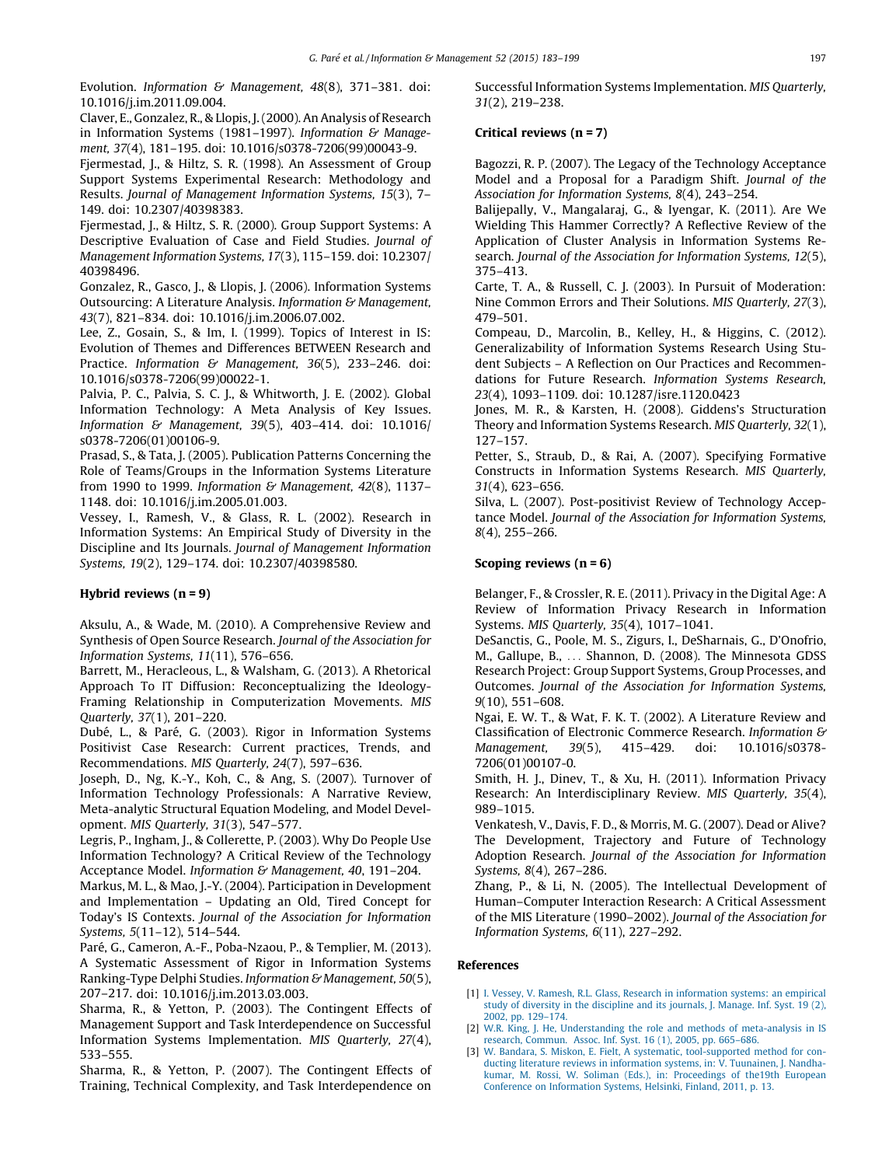<span id="page-14-0"></span>Evolution. Information & Management, 48(8), 371–381. doi: 10.1016/j.im.2011.09.004.

Claver, E., Gonzalez, R., & Llopis, J.(2000). An Analysis of Research in Information Systems (1981–1997). Information  $\mathcal G$  Management, 37(4), 181–195. doi: 10.1016/s0378-7206(99)00043-9.

Fjermestad, J., & Hiltz, S. R. (1998). An Assessment of Group Support Systems Experimental Research: Methodology and Results. Journal of Management Information Systems, 15(3), 7– 149. doi: 10.2307/40398383.

Fjermestad, J., & Hiltz, S. R. (2000). Group Support Systems: A Descriptive Evaluation of Case and Field Studies. Journal of Management Information Systems, 17(3), 115–159. doi: 10.2307/ 40398496.

Gonzalez, R., Gasco, J., & Llopis, J. (2006). Information Systems Outsourcing: A Literature Analysis. Information & Management, 43(7), 821–834. doi: 10.1016/j.im.2006.07.002.

Lee, Z., Gosain, S., & Im, I. (1999). Topics of Interest in IS: Evolution of Themes and Differences BETWEEN Research and Practice. Information & Management, 36(5), 233-246. doi: 10.1016/s0378-7206(99)00022-1.

Palvia, P. C., Palvia, S. C. J., & Whitworth, J. E. (2002). Global Information Technology: A Meta Analysis of Key Issues. Information & Management, 39(5), 403–414. doi: 10.1016/ s0378-7206(01)00106-9.

Prasad, S., & Tata, J. (2005). Publication Patterns Concerning the Role of Teams/Groups in the Information Systems Literature from 1990 to 1999. Information & Management, 42(8), 1137– 1148. doi: 10.1016/j.im.2005.01.003.

Vessey, I., Ramesh, V., & Glass, R. L. (2002). Research in Information Systems: An Empirical Study of Diversity in the Discipline and Its Journals. Journal of Management Information Systems, 19(2), 129–174. doi: 10.2307/40398580.

#### Hybrid reviews  $(n = 9)$

Aksulu, A., & Wade, M. (2010). A Comprehensive Review and Synthesis of Open Source Research. Journal of the Association for Information Systems, 11(11), 576–656.

Barrett, M., Heracleous, L., & Walsham, G. (2013). A Rhetorical Approach To IT Diffusion: Reconceptualizing the Ideology-Framing Relationship in Computerization Movements. MIS Quarterly, 37(1), 201–220.

Dubé, L., & Paré, G. (2003). Rigor in Information Systems Positivist Case Research: Current practices, Trends, and Recommendations. MIS Quarterly, 24(7), 597–636.

Joseph, D., Ng, K.-Y., Koh, C., & Ang, S. (2007). Turnover of Information Technology Professionals: A Narrative Review, Meta-analytic Structural Equation Modeling, and Model Development. MIS Quarterly, 31(3), 547–577.

Legris, P., Ingham, J., & Collerette, P. (2003). Why Do People Use Information Technology? A Critical Review of the Technology Acceptance Model. Information & Management, 40, 191–204.

Markus, M. L., & Mao, J.-Y. (2004). Participation in Development and Implementation – Updating an Old, Tired Concept for Today's IS Contexts. Journal of the Association for Information Systems, 5(11–12), 514–544.

Paré, G., Cameron, A.-F., Poba-Nzaou, P., & Templier, M. (2013). A Systematic Assessment of Rigor in Information Systems Ranking-Type Delphi Studies. Information & Management, 50(5), 207–217. doi: 10.1016/j.im.2013.03.003.

Sharma, R., & Yetton, P. (2003). The Contingent Effects of Management Support and Task Interdependence on Successful Information Systems Implementation. MIS Quarterly, 27(4), 533–555.

Sharma, R., & Yetton, P. (2007). The Contingent Effects of Training, Technical Complexity, and Task Interdependence on

Successful Information Systems Implementation. MIS Quarterly, 31(2), 219–238.

### Critical reviews (n = 7)

Bagozzi, R. P. (2007). The Legacy of the Technology Acceptance Model and a Proposal for a Paradigm Shift. Journal of the Association for Information Systems, 8(4), 243–254.

Balijepally, V., Mangalaraj, G., & Iyengar, K. (2011). Are We Wielding This Hammer Correctly? A Reflective Review of the Application of Cluster Analysis in Information Systems Research. Journal of the Association for Information Systems, 12(5), 375–413.

Carte, T. A., & Russell, C. J. (2003). In Pursuit of Moderation: Nine Common Errors and Their Solutions. MIS Quarterly, 27(3), 479–501.

Compeau, D., Marcolin, B., Kelley, H., & Higgins, C. (2012). Generalizability of Information Systems Research Using Student Subjects – A Reflection on Our Practices and Recommendations for Future Research. Information Systems Research, 23(4), 1093–1109. doi: 10.1287/isre.1120.0423

Jones, M. R., & Karsten, H. (2008). Giddens's Structuration Theory and Information Systems Research. MIS Quarterly, 32(1), 127–157.

Petter, S., Straub, D., & Rai, A. (2007). Specifying Formative Constructs in Information Systems Research. MIS Quarterly, 31(4), 623–656.

Silva, L. (2007). Post-positivist Review of Technology Acceptance Model. Journal of the Association for Information Systems, 8(4), 255–266.

#### Scoping reviews  $(n = 6)$

Belanger, F., & Crossler, R. E. (2011). Privacy in the Digital Age: A Review of Information Privacy Research in Information Systems. MIS Quarterly, 35(4), 1017–1041.

DeSanctis, G., Poole, M. S., Zigurs, I., DeSharnais, G., D'Onofrio, M., Gallupe, B., ... Shannon, D. (2008). The Minnesota GDSS Research Project: Group Support Systems, Group Processes, and Outcomes. Journal of the Association for Information Systems, 9(10), 551–608.

Ngai, E. W. T., & Wat, F. K. T. (2002). A Literature Review and Classification of Electronic Commerce Research. Information & Management, 39(5), 415–429. doi: 10.1016/s0378- 7206(01)00107-0.

Smith, H. J., Dinev, T., & Xu, H. (2011). Information Privacy Research: An Interdisciplinary Review. MIS Quarterly, 35(4), 989–1015.

Venkatesh, V., Davis, F. D., & Morris, M. G. (2007). Dead or Alive? The Development, Trajectory and Future of Technology Adoption Research. Journal of the Association for Information Systems, 8(4), 267–286.

Zhang, P., & Li, N. (2005). The Intellectual Development of Human–Computer Interaction Research: A Critical Assessment of the MIS Literature (1990–2002). Journal of the Association for Information Systems, 6(11), 227–292.

### References

- [1] I. Vessey, V. Ramesh, R.L. Glass, Research in [information](http://refhub.elsevier.com/S0378-7206(14)00111-6/sbref0005) systems: an empirical study of diversity in the [discipline](http://refhub.elsevier.com/S0378-7206(14)00111-6/sbref0005) and its journals, J. Manage. Inf. Syst. 19 (2), 2002, pp. [129–174](http://refhub.elsevier.com/S0378-7206(14)00111-6/sbref0005).
- [2] W.R. King, J. He, [Understanding](http://refhub.elsevier.com/S0378-7206(14)00111-6/sbref0010) the role and methods of meta-analysis in IS research, [Commun.](http://refhub.elsevier.com/S0378-7206(14)00111-6/sbref0010) Assoc. Inf. Syst. 16 (1), 2005, pp. 665–686.
- [3] W. Bandara, S. Miskon, E. Fielt, A systematic, [tool-supported](http://refhub.elsevier.com/S0378-7206(14)00111-6/sbref0015) method for conducting literature reviews in [information](http://refhub.elsevier.com/S0378-7206(14)00111-6/sbref0015) systems, in: V. Tuunainen, J. Nandhakumar, M. Rossi, W. Soliman (Eds.), in: [Proceedings](http://refhub.elsevier.com/S0378-7206(14)00111-6/sbref0015) of the19th European Conference on [Information](http://refhub.elsevier.com/S0378-7206(14)00111-6/sbref0015) Systems, Helsinki, Finland, 2011, p. 13.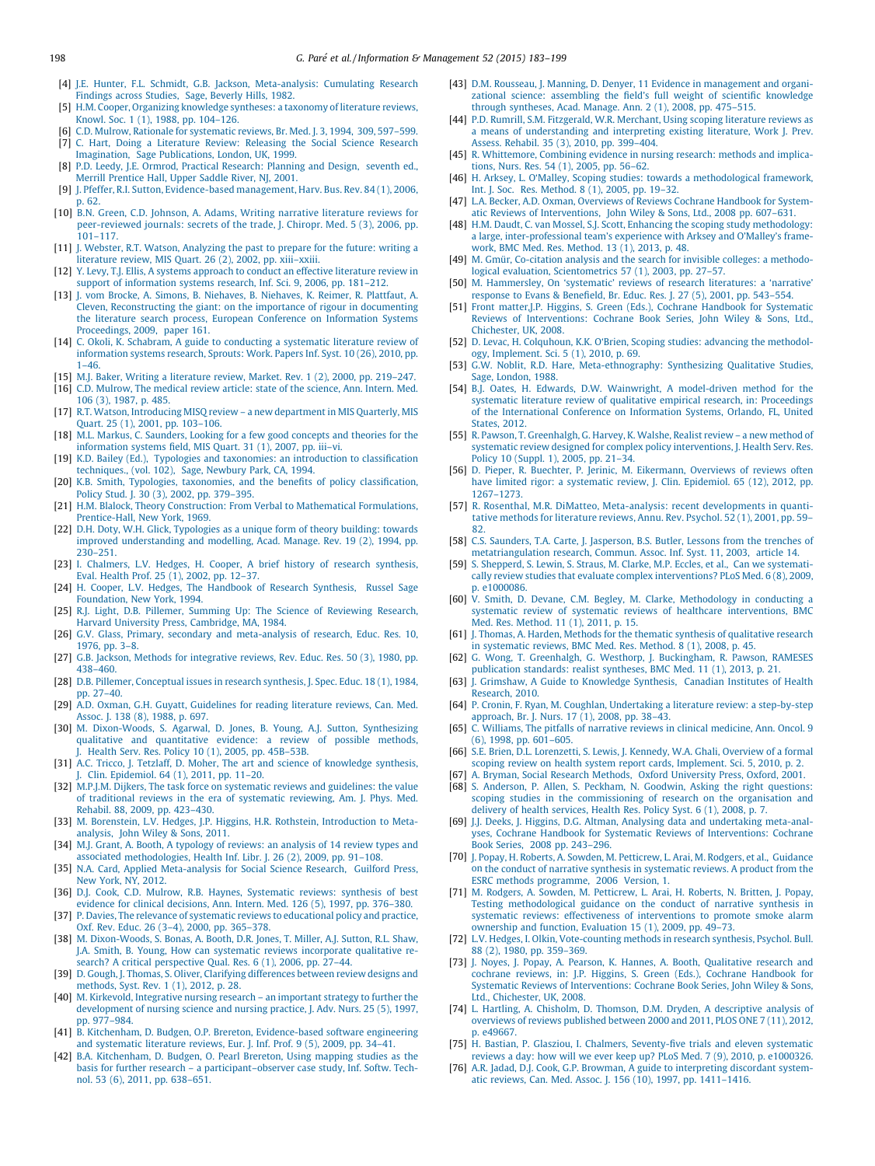- <span id="page-15-0"></span>[4] J.E. Hunter, F.L. Schmidt, G.B. Jackson, [Meta-analysis:](http://refhub.elsevier.com/S0378-7206(14)00111-6/sbref0020) Cumulating Research [Findings](http://refhub.elsevier.com/S0378-7206(14)00111-6/sbref0020) across Studies, Sage, Beverly Hills, 1982.
- [5] H.M. Cooper, Organizing [knowledge](http://refhub.elsevier.com/S0378-7206(14)00111-6/sbref0025) syntheses: a taxonomy of literature reviews, Knowl. Soc. 1 (1), 1988, pp. [104–126](http://refhub.elsevier.com/S0378-7206(14)00111-6/sbref0025).
- [6] C.D. Mulrow, Rationale for [systematic](http://refhub.elsevier.com/S0378-7206(14)00111-6/sbref0030) reviews, Br. Med. J. 3, 1994, 309, 597–599. [7] C. Hart, Doing a [Literature](http://refhub.elsevier.com/S0378-7206(14)00111-6/sbref0035) Review: Releasing the Social Science Research
- Imagination, Sage [Publications,](http://refhub.elsevier.com/S0378-7206(14)00111-6/sbref0035) London, UK, 1999. [8] P.D. Leedy, J.E. Ormrod, Practical [Research:](http://refhub.elsevier.com/S0378-7206(14)00111-6/sbref0040) Planning and Design, seventh ed., Merrill [Prentice](http://refhub.elsevier.com/S0378-7206(14)00111-6/sbref0040) Hall, Upper Saddle River, NJ, 2001.
- [9] J. Pfeffer, R.I. Sutton, [Evidence-based](http://refhub.elsevier.com/S0378-7206(14)00111-6/sbref0045) management, Harv. Bus. Rev. 84 (1), 2006, p. [62](http://refhub.elsevier.com/S0378-7206(14)00111-6/sbref0045).
- [10] B.N. Green, C.D. Johnson, A. Adams, Writing narrative [literature](http://refhub.elsevier.com/S0378-7206(14)00111-6/sbref0050) reviews for [peer-reviewed](http://refhub.elsevier.com/S0378-7206(14)00111-6/sbref0050) journals: secrets of the trade, J. Chiropr. Med. 5 (3), 2006, pp. [101–117](http://refhub.elsevier.com/S0378-7206(14)00111-6/sbref0050).
- [11] J. Webster, R.T. Watson, [Analyzing](http://refhub.elsevier.com/S0378-7206(14)00111-6/sbref0055) the past to prepare for the future: writing a [literature](http://refhub.elsevier.com/S0378-7206(14)00111-6/sbref0055) review, MIS Quart. 26 (2), 2002, pp. xiii–xxiii.
- [12] Y. Levy, T.J. Ellis, A systems approach to conduct an effective [literature](http://refhub.elsevier.com/S0378-7206(14)00111-6/sbref0060) review in support of [information](http://refhub.elsevier.com/S0378-7206(14)00111-6/sbref0060) systems research, Inf. Sci. 9, 2006, pp. 181–212.
- [13] J. vom Brocke, A. Simons, B. [Niehaves,](http://refhub.elsevier.com/S0378-7206(14)00111-6/sbref0065) B. Niehaves, K. Reimer, R. Plattfaut, A. Cleven, [Reconstructing](http://refhub.elsevier.com/S0378-7206(14)00111-6/sbref0065) the giant: on the importance of rigour in documenting the literature search process, European Conference on [Information](http://refhub.elsevier.com/S0378-7206(14)00111-6/sbref0065) Systems [Proceedings,](http://refhub.elsevier.com/S0378-7206(14)00111-6/sbref0065) 2009, paper 161.
- [14] C. Okoli, K. Schabram, A guide to [conducting](http://refhub.elsevier.com/S0378-7206(14)00111-6/sbref0070) a systematic literature review of [information](http://refhub.elsevier.com/S0378-7206(14)00111-6/sbref0070) systems research, Sprouts: Work. Papers Inf. Syst. 10 (26), 2010, pp. [1–46](http://refhub.elsevier.com/S0378-7206(14)00111-6/sbref0070).
- [15] M.J. Baker, Writing a [literature](http://refhub.elsevier.com/S0378-7206(14)00111-6/sbref0075) review, Market. Rev. 1 (2), 2000, pp. 219–247. [16] C.D. [Mulrow,](http://refhub.elsevier.com/S0378-7206(14)00111-6/sbref0080) The medical review article: state of the science, Ann. Intern. Med.
- 106 (3), [1987,](http://refhub.elsevier.com/S0378-7206(14)00111-6/sbref0080) p. 485. [17] R.T. Watson, Introducing MISQ review – a new [department](http://refhub.elsevier.com/S0378-7206(14)00111-6/sbref0085) in MIS Quarterly, MIS
- Quart. 25 (1), 2001, pp. [103–106.](http://refhub.elsevier.com/S0378-7206(14)00111-6/sbref0085)
- [18] M.L. Markus, C. [Saunders,](http://refhub.elsevier.com/S0378-7206(14)00111-6/sbref0090) Looking for a few good concepts and theories for the [information](http://refhub.elsevier.com/S0378-7206(14)00111-6/sbref0090) systems field, MIS Quart. 31 (1), 2007, pp. iii–vi.
- [19] K.D. Bailey (Ed.), Typologies and taxonomies: an introduction to [classification](http://refhub.elsevier.com/S0378-7206(14)00111-6/sbref0095) [techniques.,](http://refhub.elsevier.com/S0378-7206(14)00111-6/sbref0095) (vol. 102), Sage, Newbury Park, CA, 1994.
- [20] K.B. Smith, Typologies, taxonomies, and the benefits of policy [classification,](http://refhub.elsevier.com/S0378-7206(14)00111-6/sbref0100) Policy Stud. J. 30 (3), 2002, pp. [379–395.](http://refhub.elsevier.com/S0378-7206(14)00111-6/sbref0100)
- [21] H.M. Blalock, Theory Construction: From Verbal to [Mathematical](http://refhub.elsevier.com/S0378-7206(14)00111-6/sbref0105) Formulations, [Prentice-Hall,](http://refhub.elsevier.com/S0378-7206(14)00111-6/sbref0105) New York, 1969.
- [22] D.H. Doty, W.H. Glick, [Typologies](http://refhub.elsevier.com/S0378-7206(14)00111-6/sbref0110) as a unique form of theory building: towards improved [understanding](http://refhub.elsevier.com/S0378-7206(14)00111-6/sbref0110) and modelling, Acad. Manage. Rev. 19 (2), 1994, pp. [230–251](http://refhub.elsevier.com/S0378-7206(14)00111-6/sbref0110).
- [23] I. [Chalmers,](http://refhub.elsevier.com/S0378-7206(14)00111-6/sbref0115) L.V. Hedges, H. Cooper, A brief history of research synthesis, Eval. [Health](http://refhub.elsevier.com/S0378-7206(14)00111-6/sbref0115) Prof. 25 (1), 2002, pp. 12–37.
- [24] H. Cooper, L.V. Hedges, The [Handbook](http://refhub.elsevier.com/S0378-7206(14)00111-6/sbref0120) of Research Synthesis, Russel Sage [Foundation,](http://refhub.elsevier.com/S0378-7206(14)00111-6/sbref0120) New York, 1994.
- [25] R.J. Light, D.B. Pillemer, Summing Up: The Science of [Reviewing](http://refhub.elsevier.com/S0378-7206(14)00111-6/sbref0125) Research, Harvard University Press, [Cambridge,](http://refhub.elsevier.com/S0378-7206(14)00111-6/sbref0125) MA, 1984.
- [26] G.V. Glass, Primary, secondary and [meta-analysis](http://refhub.elsevier.com/S0378-7206(14)00111-6/sbref0130) of research, Educ. Res. 10, [1976,](http://refhub.elsevier.com/S0378-7206(14)00111-6/sbref0130) pp. 3–8.
- [27] G.B. Jackson, Methods for [integrative](http://refhub.elsevier.com/S0378-7206(14)00111-6/sbref0135) reviews, Rev. Educ. Res. 50 (3), 1980, pp. [438–460](http://refhub.elsevier.com/S0378-7206(14)00111-6/sbref0135).
- [28] D.B. Pillemer, [Conceptual](http://refhub.elsevier.com/S0378-7206(14)00111-6/sbref0140) issues in research synthesis, J. Spec. Educ. 18 (1), 1984, pp. [27–40.](http://refhub.elsevier.com/S0378-7206(14)00111-6/sbref0140)
- [29] A.D. Oxman, G.H. Guyatt, [Guidelines](http://refhub.elsevier.com/S0378-7206(14)00111-6/sbref0145) for reading literature reviews, Can. Med. [Assoc.](http://refhub.elsevier.com/S0378-7206(14)00111-6/sbref0145) J. 138 (8), 1988, p. 697.
- [30] M. [Dixon-Woods,](http://refhub.elsevier.com/S0378-7206(14)00111-6/sbref0150) S. Agarwal, D. Jones, B. Young, A.J. Sutton, Synthesizing qualitative and [quantitative](http://refhub.elsevier.com/S0378-7206(14)00111-6/sbref0150) evidence: a review of possible methods, Health Serv. Res. Policy 10 (1), 2005, pp. 45B-53B.
- [31] A.C. Tricco, J. Tetzlaff, D. Moher, The art and science of [knowledge](http://refhub.elsevier.com/S0378-7206(14)00111-6/sbref0155) synthesis, J. Clin. [Epidemiol.](http://refhub.elsevier.com/S0378-7206(14)00111-6/sbref0155) 64 (1), 2011, pp. 11–20.
- [32] M.P.J.M. Dijkers, The task force on systematic reviews and [guidelines:](http://refhub.elsevier.com/S0378-7206(14)00111-6/sbref0160) the value of traditional reviews in the era of [systematic](http://refhub.elsevier.com/S0378-7206(14)00111-6/sbref0160) reviewing, Am. J. Phys. Med. Rehabil. 88, 2009, pp. [423–430](http://refhub.elsevier.com/S0378-7206(14)00111-6/sbref0160).
- [33] M. Borenstein, L.V. Hedges, J.P. Higgins, H.R. Rothstein, [Introduction](http://refhub.elsevier.com/S0378-7206(14)00111-6/sbref0165) to Meta[analysis,](http://refhub.elsevier.com/S0378-7206(14)00111-6/sbref0165) John Wiley & Sons, 2011.
- [34] M.J. Grant, A. Booth, A [typology](http://refhub.elsevier.com/S0378-7206(14)00111-6/sbref0170) of reviews: an analysis of 14 review types and associated [methodologies,](http://refhub.elsevier.com/S0378-7206(14)00111-6/sbref0170) Health Inf. Libr. J. 26 (2), 2009, pp. 91–108.
- [35] N.A. Card, Applied [Meta-analysis](http://refhub.elsevier.com/S0378-7206(14)00111-6/sbref0175) for Social Science Research, Guilford Press, New [York,](http://refhub.elsevier.com/S0378-7206(14)00111-6/sbref0175) NY, 2012.
- [36] D.J. Cook, C.D. Mulrow, R.B. Haynes, [Systematic](http://refhub.elsevier.com/S0378-7206(14)00111-6/sbref0180) reviews: synthesis of best evidence for clinical [decisions,](http://refhub.elsevier.com/S0378-7206(14)00111-6/sbref0180) Ann. Intern. Med. 126 (5), 1997, pp. 376–380.
- [37] P. Davies, The relevance of systematic reviews to [educational](http://refhub.elsevier.com/S0378-7206(14)00111-6/sbref0185) policy and practice, Oxf. Rev. Educ. 26 (3–4), 2000, pp. [365–378.](http://refhub.elsevier.com/S0378-7206(14)00111-6/sbref0185)
- [38] M. [Dixon-Woods,](http://refhub.elsevier.com/S0378-7206(14)00111-6/sbref0190) S. Bonas, A. Booth, D.R. Jones, T. Miller, A.J. Sutton, R.L. Shaw, J.A. Smith, B. Young, How can systematic reviews [incorporate](http://refhub.elsevier.com/S0378-7206(14)00111-6/sbref0190) qualitative research? A critical [perspective](http://refhub.elsevier.com/S0378-7206(14)00111-6/sbref0190) Qual. Res. 6 (1), 2006, pp. 27–44.
- [39] D. Gough, J. Thomas, S. Oliver, Clarifying [differences](http://refhub.elsevier.com/S0378-7206(14)00111-6/sbref0195) between review designs and [methods,](http://refhub.elsevier.com/S0378-7206(14)00111-6/sbref0195) Syst. Rev. 1 (1), 2012, p. 28.
- [40] M. Kirkevold, [Integrative](http://refhub.elsevier.com/S0378-7206(14)00111-6/sbref0205) nursing research an important strategy to further the [development](http://refhub.elsevier.com/S0378-7206(14)00111-6/sbref0205) of nursing science and nursing practice, J. Adv. Nurs. 25 (5), 1997, pp. [977–984](http://refhub.elsevier.com/S0378-7206(14)00111-6/sbref0205).
- [41] B. Kitchenham, D. Budgen, O.P. Brereton, [Evidence-based](http://refhub.elsevier.com/S0378-7206(14)00111-6/sbref0210) software engineering and [systematic](http://refhub.elsevier.com/S0378-7206(14)00111-6/sbref0210) literature reviews, Eur. J. Inf. Prof. 9 (5), 2009, pp. 34–41.
- [42] B.A. [Kitchenham,](http://refhub.elsevier.com/S0378-7206(14)00111-6/sbref0215) D. Budgen, O. Pearl Brereton, Using mapping studies as the basis for further research – a [participant–observer](http://refhub.elsevier.com/S0378-7206(14)00111-6/sbref0215) case study, Inf. Softw. Technol. 53 (6), 2011, pp. [638–651](http://refhub.elsevier.com/S0378-7206(14)00111-6/sbref0215).
- [43] D.M. Rousseau, J. Manning, D. Denyer, 11 Evidence in [management](http://refhub.elsevier.com/S0378-7206(14)00111-6/sbref0220) and organizational science: [assembling](http://refhub.elsevier.com/S0378-7206(14)00111-6/sbref0220) the field's full weight of scientific knowledge through [syntheses,](http://refhub.elsevier.com/S0378-7206(14)00111-6/sbref0220) Acad. Manage. Ann. 2 (1), 2008, pp. 475–515.
- [44] P.D. Rumrill, S.M. [Fitzgerald,](http://refhub.elsevier.com/S0378-7206(14)00111-6/sbref0225) W.R. Merchant, Using scoping literature reviews as a means of [understanding](http://refhub.elsevier.com/S0378-7206(14)00111-6/sbref0225) and interpreting existing literature, Work J. Prev. Assess. Rehabil. 35 (3), 2010, pp. [399–404.](http://refhub.elsevier.com/S0378-7206(14)00111-6/sbref0225)
- [45] R. [Whittemore,](http://refhub.elsevier.com/S0378-7206(14)00111-6/sbref0230) Combining evidence in nursing research: methods and implications, Nurs. Res. 54 (1), 2005, pp. [56–62.](http://refhub.elsevier.com/S0378-7206(14)00111-6/sbref0230)
- [46] H. Arksey, L. O'Malley, Scoping studies: towards a [methodological](http://refhub.elsevier.com/S0378-7206(14)00111-6/sbref0235) framework, Int. J. Soc. Res. [Method.](http://refhub.elsevier.com/S0378-7206(14)00111-6/sbref0235) 8 (1), 2005, pp. 19–32.
- [47] L.A. Becker, A.D. Oxman, [Overviews](http://refhub.elsevier.com/S0378-7206(14)00111-6/sbref0240) of Reviews Cochrane Handbook for Systematic Reviews of [Interventions,](http://refhub.elsevier.com/S0378-7206(14)00111-6/sbref0240) John Wiley & Sons, Ltd., 2008 pp. [607–631.](http://refhub.elsevier.com/S0378-7206(14)00111-6/sbref0240)
- [48] H.M. Daudt, C. van Mossel, S.J. Scott, Enhancing the scoping study [methodology:](http://refhub.elsevier.com/S0378-7206(14)00111-6/sbref0245) a large, [inter-professional](http://refhub.elsevier.com/S0378-7206(14)00111-6/sbref0245) team's experience with Arksey and O'Malley's framework, BMC Med. Res. [Method.](http://refhub.elsevier.com/S0378-7206(14)00111-6/sbref0245) 13 (1), 2013, p. 48.
- [49] M. Gmür, [Co-citation](http://refhub.elsevier.com/S0378-7206(14)00111-6/sbref0250) analysis and the search for invisible colleges: a methodological evaluation, [Scientometrics](http://refhub.elsevier.com/S0378-7206(14)00111-6/sbref0250) 57 (1), 2003, pp. 27–57.
- [50] M. [Hammersley,](http://refhub.elsevier.com/S0378-7206(14)00111-6/sbref0255) On 'systematic' reviews of research literatures: a 'narrative' response to Evans & [Benefield,](http://refhub.elsevier.com/S0378-7206(14)00111-6/sbref0255) Br. Educ. Res. J. 27 (5), 2001, pp. 543–554.
- [51] Front matter,J.P. Higgins, S. Green (Eds.), Cochrane Handbook for [Systematic](http://refhub.elsevier.com/S0378-7206(14)00111-6/sbref0260) Reviews of [Interventions:](http://refhub.elsevier.com/S0378-7206(14)00111-6/sbref0260) Cochrane Book Series, John Wiley & Sons, Ltd., [Chichester,](http://refhub.elsevier.com/S0378-7206(14)00111-6/sbref0260) UK, 2008.
- [52] D. Levac, H. [Colquhoun,](http://refhub.elsevier.com/S0378-7206(14)00111-6/sbref0265) K.K. O'Brien, Scoping studies: advancing the methodology, [Implement.](http://refhub.elsevier.com/S0378-7206(14)00111-6/sbref0265) Sci. 5 (1), 2010, p. 69.
- [53] G.W. Noblit, R.D. Hare, [Meta-ethnography:](http://refhub.elsevier.com/S0378-7206(14)00111-6/sbref0270) Synthesizing Qualitative Studies, Sage, [London,](http://refhub.elsevier.com/S0378-7206(14)00111-6/sbref0270) 1988.
- [54] B.J. Oates, H. Edwards, D.W. Wainwright, A [model-driven](http://refhub.elsevier.com/S0378-7206(14)00111-6/sbref0275) method for the systematic literature review of qualitative empirical research, in: [Proceedings](http://refhub.elsevier.com/S0378-7206(14)00111-6/sbref0275) of the [International](http://refhub.elsevier.com/S0378-7206(14)00111-6/sbref0275) Conference on Information Systems, Orlando, FL, United [States,](http://refhub.elsevier.com/S0378-7206(14)00111-6/sbref0275) 2012.
- [55] R. Pawson, T. [Greenhalgh,](http://refhub.elsevier.com/S0378-7206(14)00111-6/sbref0280) G. Harvey, K. Walshe, Realist review a new method of systematic review designed for complex policy [interventions,](http://refhub.elsevier.com/S0378-7206(14)00111-6/sbref0280) J. Health Serv. Res. Policy 10 [\(Suppl.](http://refhub.elsevier.com/S0378-7206(14)00111-6/sbref0280) 1), 2005, pp. 21–34.
- [56] D. Pieper, R. Buechter, P. Jerinic, M. [Eikermann,](http://refhub.elsevier.com/S0378-7206(14)00111-6/sbref0285) Overviews of reviews often have limited rigor: a [systematic](http://refhub.elsevier.com/S0378-7206(14)00111-6/sbref0285) review, J. Clin. Epidemiol. 65 (12), 2012, pp. [1267–1273.](http://refhub.elsevier.com/S0378-7206(14)00111-6/sbref0285)
- [57] R. Rosenthal, M.R. DiMatteo, [Meta-analysis:](http://refhub.elsevier.com/S0378-7206(14)00111-6/sbref0290) recent developments in quantitative methods for [literature](http://refhub.elsevier.com/S0378-7206(14)00111-6/sbref0290) reviews, Annu. Rev. Psychol. 52 (1), 2001, pp. 59– [82](http://refhub.elsevier.com/S0378-7206(14)00111-6/sbref0290).
- [58] C.S. Saunders, T.A. Carte, J. [Jasperson,](http://refhub.elsevier.com/S0378-7206(14)00111-6/sbref0295) B.S. Butler, Lessons from the trenches of [metatriangulation](http://refhub.elsevier.com/S0378-7206(14)00111-6/sbref0295) research, Commun. Assoc. Inf. Syst. 11, 2003, article 14.
- [59] S. Shepperd, S. Lewin, S. Straus, M. Clarke, M.P. Eccles, et al., Can we [systemati](http://refhub.elsevier.com/S0378-7206(14)00111-6/sbref0300)cally review studies that evaluate complex [interventions?](http://refhub.elsevier.com/S0378-7206(14)00111-6/sbref0300) PLoS Med. 6 (8), 2009, p. [e1000086.](http://refhub.elsevier.com/S0378-7206(14)00111-6/sbref0300)
- [60] V. Smith, D. Devane, C.M. Begley, M. Clarke, [Methodology](http://refhub.elsevier.com/S0378-7206(14)00111-6/sbref0305) in conducting a systematic review of systematic reviews of healthcare [interventions,](http://refhub.elsevier.com/S0378-7206(14)00111-6/sbref0305) BMC Med. Res. [Method.](http://refhub.elsevier.com/S0378-7206(14)00111-6/sbref0305) 11 (1), 2011, p. 15.
- [61] J. Thomas, A. Harden, Methods for the thematic synthesis of [qualitative](http://refhub.elsevier.com/S0378-7206(14)00111-6/sbref0310) research in [systematic](http://refhub.elsevier.com/S0378-7206(14)00111-6/sbref0310) reviews, BMC Med. Res. Method. 8 (1), 2008, p. 45.
- [62] G. Wong, T. Greenhalgh, G. Westhorp, J. [Buckingham,](http://refhub.elsevier.com/S0378-7206(14)00111-6/sbref0315) R. Pawson, RAMESES [publication](http://refhub.elsevier.com/S0378-7206(14)00111-6/sbref0315) standards: realist syntheses, BMC Med. 11 (1), 2013, p. 21.
- [63] J. Grimshaw, A Guide to [Knowledge](http://refhub.elsevier.com/S0378-7206(14)00111-6/sbref0320) Synthesis, Canadian Institutes of Health [Research,](http://refhub.elsevier.com/S0378-7206(14)00111-6/sbref0320) 2010.
- [64] P. Cronin, F. Ryan, M. Coughlan, Undertaking a literature review: a [step-by-step](http://refhub.elsevier.com/S0378-7206(14)00111-6/sbref0325) [approach,](http://refhub.elsevier.com/S0378-7206(14)00111-6/sbref0325) Br. J. Nurs. 17 (1), 2008, pp. 38–43.
- [65] C. Williams, The pitfalls of narrative reviews in clinical [medicine,](http://refhub.elsevier.com/S0378-7206(14)00111-6/sbref0330) Ann. Oncol. 9 (6), 1998, pp. [601–605.](http://refhub.elsevier.com/S0378-7206(14)00111-6/sbref0330)
- [66] S.E. Brien, D.L. [Lorenzetti,](http://refhub.elsevier.com/S0378-7206(14)00111-6/sbref0335) S. Lewis, J. Kennedy, W.A. Ghali, Overview of a formal scoping review on health system report cards, [Implement.](http://refhub.elsevier.com/S0378-7206(14)00111-6/sbref0335) Sci. 5, 2010, p. 2.
- [67] A. Bryman, Social Research Methods, Oxford [University](http://refhub.elsevier.com/S0378-7206(14)00111-6/sbref0340) Press, Oxford, 2001.
- [68] S. Anderson, P. Allen, S. Peckham, N. Goodwin, Asking the right [questions:](http://refhub.elsevier.com/S0378-7206(14)00111-6/sbref0345) scoping studies in the [commissioning](http://refhub.elsevier.com/S0378-7206(14)00111-6/sbref0345) of research on the organisation and delivery of health [services,](http://refhub.elsevier.com/S0378-7206(14)00111-6/sbref0345) Health Res. Policy Syst. 6 (1), 2008, p. 7.
- [69] J.J. Deeks, J. Higgins, D.G. Altman, Analysing data and [undertaking](http://refhub.elsevier.com/S0378-7206(14)00111-6/sbref0350) meta-analyses, Cochrane Handbook for Systematic Reviews of [Interventions:](http://refhub.elsevier.com/S0378-7206(14)00111-6/sbref0350) Cochrane Book Series, 2008 pp. [243–296](http://refhub.elsevier.com/S0378-7206(14)00111-6/sbref0350).
- [70] J. Popay, H. Roberts, A. Sowden, M. [Petticrew,](http://refhub.elsevier.com/S0378-7206(14)00111-6/sbref0355) L. Arai, M. Rodgers, et al., Guidance on the conduct of narrative synthesis in [systematic](http://refhub.elsevier.com/S0378-7206(14)00111-6/sbref0355) reviews. A product from the ESRC methods [programme,](http://refhub.elsevier.com/S0378-7206(14)00111-6/sbref0355) 2006 Version, 1.
- [71] M. Rodgers, A. Sowden, M. [Petticrew,](http://refhub.elsevier.com/S0378-7206(14)00111-6/sbref0360) L. Arai, H. Roberts, N. Britten, J. Popay, Testing [methodological](http://refhub.elsevier.com/S0378-7206(14)00111-6/sbref0360) guidance on the conduct of narrative synthesis in systematic reviews: effectiveness of [interventions](http://refhub.elsevier.com/S0378-7206(14)00111-6/sbref0360) to promote smoke alarm [ownership](http://refhub.elsevier.com/S0378-7206(14)00111-6/sbref0360) and function, Evaluation 15 (1), 2009, pp. 49–73.
- [72] L.V. Hedges, I. Olkin, [Vote-counting](http://refhub.elsevier.com/S0378-7206(14)00111-6/sbref0365) methods in research synthesis, Psychol. Bull. 88 (2), 1980, pp. [359–369](http://refhub.elsevier.com/S0378-7206(14)00111-6/sbref0365).
- [73] J. Noyes, J. Popay, A. Pearson, K. Hannes, A. Booth, [Qualitative](http://refhub.elsevier.com/S0378-7206(14)00111-6/sbref0370) research and cochrane reviews, in: J.P. Higgins, S. Green (Eds.), Cochrane [Handbook](http://refhub.elsevier.com/S0378-7206(14)00111-6/sbref0370) for Systematic Reviews of [Interventions:](http://refhub.elsevier.com/S0378-7206(14)00111-6/sbref0370) Cochrane Book Series, John Wiley & Sons, Ltd., [Chichester,](http://refhub.elsevier.com/S0378-7206(14)00111-6/sbref0370) UK, 2008.
- [74] L. Hartling, A. Chisholm, D. Thomson, D.M. Dryden, A [descriptive](http://refhub.elsevier.com/S0378-7206(14)00111-6/sbref0380) analysis of [overviews](http://refhub.elsevier.com/S0378-7206(14)00111-6/sbref0380) of reviews published between 2000 and 2011, PLOS ONE 7 (11), 2012, p. [e49667.](http://refhub.elsevier.com/S0378-7206(14)00111-6/sbref0380)
- [75] H. Bastian, P. Glasziou, I. Chalmers, [Seventy-five](http://refhub.elsevier.com/S0378-7206(14)00111-6/sbref0385) trials and eleven systematic reviews a day: how will we ever keep up? PLoS Med. 7 (9), 2010, p. [e1000326](http://refhub.elsevier.com/S0378-7206(14)00111-6/sbref0385).
- [76] A.R. Jadad, D.J. Cook, G.P. Browman, A guide to [interpreting](http://refhub.elsevier.com/S0378-7206(14)00111-6/sbref0390) discordant systematic reviews, Can. Med. Assoc. J. 156 (10), 1997, pp. [1411–1416.](http://refhub.elsevier.com/S0378-7206(14)00111-6/sbref0390)